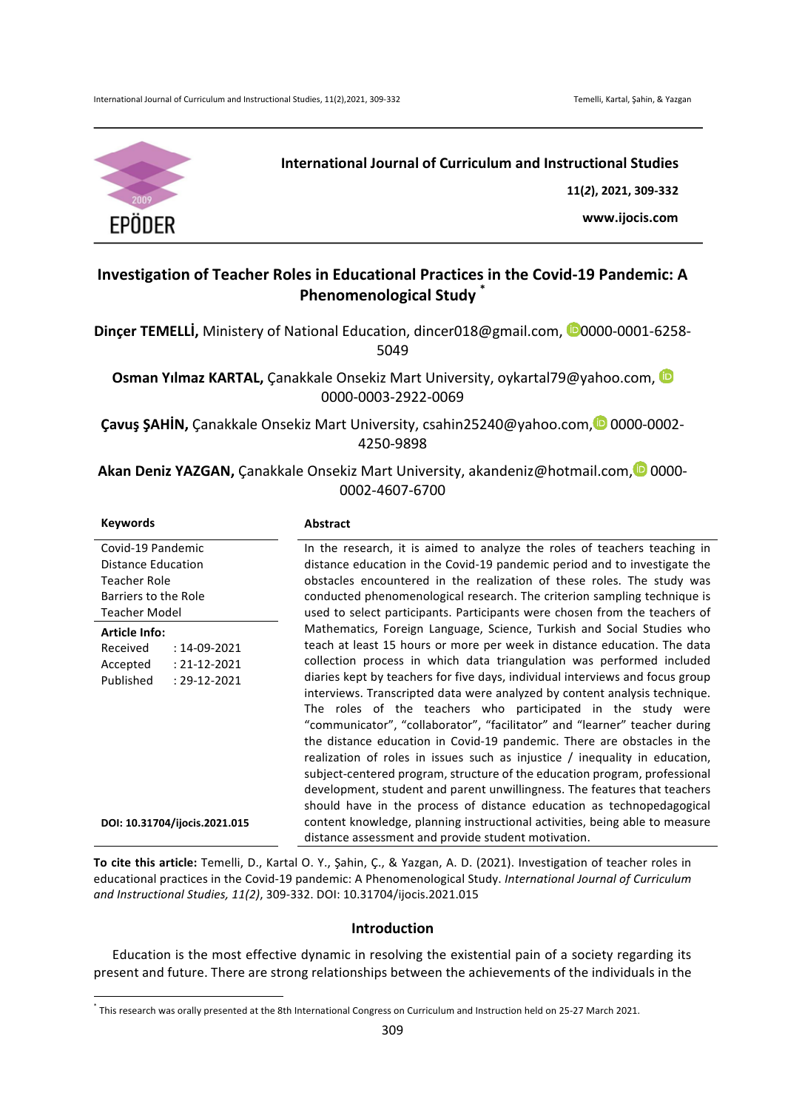

# **International Journal of Curriculum and Instructional Studies**

**11(***2***), 2021, 309-332**

**www.ijocis.com**

# **Investigation of Teacher Roles in Educational Practices in the Covid-19 Pandemic: A Phenomenological Study**

**Dincer TEMELLİ,** Ministery of National Education, dincer018@gmail.com, <sup>00</sup>0000-0001-6258-5049

**Osman Yılmaz KARTAL,** Çanakkale Onsekiz Mart University, oykartal79@yahoo.com, iD 0000-0003-2922-0069

**Çavuş ŞAHİN,** Çanakkale Onsekiz Mart University, csahin25240@yahoo.com, 0000-0002-4250-9898

**Akan Deniz YAZGAN,** Çanakkale Onsekiz Mart University, akandeniz@hotmail.com, <sup>1</sup>0000-0002-4607-6700

#### **Keywords Abstract**

<u> 1989 - Johann Barn, mars ann an t-Amhain an t-Amhain an t-Amhain an t-Amhain an t-Amhain an t-Amhain an t-Amh</u>

| Covid-19 Pandemic               | In the research, it is aimed to analyze the roles of teachers teaching in     |
|---------------------------------|-------------------------------------------------------------------------------|
| <b>Distance Education</b>       | distance education in the Covid-19 pandemic period and to investigate the     |
| Teacher Role                    | obstacles encountered in the realization of these roles. The study was        |
| Barriers to the Role            | conducted phenomenological research. The criterion sampling technique is      |
| <b>Teacher Model</b>            | used to select participants. Participants were chosen from the teachers of    |
| <b>Article Info:</b>            | Mathematics, Foreign Language, Science, Turkish and Social Studies who        |
| Received<br>$: 14 - 09 - 2021$  | teach at least 15 hours or more per week in distance education. The data      |
| $: 21 - 12 - 2021$<br>Accepted  | collection process in which data triangulation was performed included         |
| Published<br>$: 29 - 12 - 2021$ | diaries kept by teachers for five days, individual interviews and focus group |
|                                 | interviews. Transcripted data were analyzed by content analysis technique.    |
|                                 | The roles of the teachers who participated in the study were                  |
|                                 | "communicator", "collaborator", "facilitator" and "learner" teacher during    |
|                                 | the distance education in Covid-19 pandemic. There are obstacles in the       |
|                                 | realization of roles in issues such as injustice / inequality in education,   |
|                                 | subject-centered program, structure of the education program, professional    |
|                                 | development, student and parent unwillingness. The features that teachers     |
|                                 | should have in the process of distance education as technopedagogical         |
| DOI: 10.31704/ijocis.2021.015   | content knowledge, planning instructional activities, being able to measure   |
|                                 | distance assessment and provide student motivation.                           |

To cite this article: Temelli, D., Kartal O. Y., Şahin, Ç., & Yazgan, A. D. (2021). Investigation of teacher roles in educational practices in the Covid-19 pandemic: A Phenomenological Study. *International Journal of Curriculum and Instructional Studies, 11(2)*, 309-332. DOI: 10.31704/ijocis.2021.015

# **Introduction**

Education is the most effective dynamic in resolving the existential pain of a society regarding its present and future. There are strong relationships between the achievements of the individuals in the

<sup>\*</sup> This research was orally presented at the 8th International Congress on Curriculum and Instruction held on 25-27 March 2021.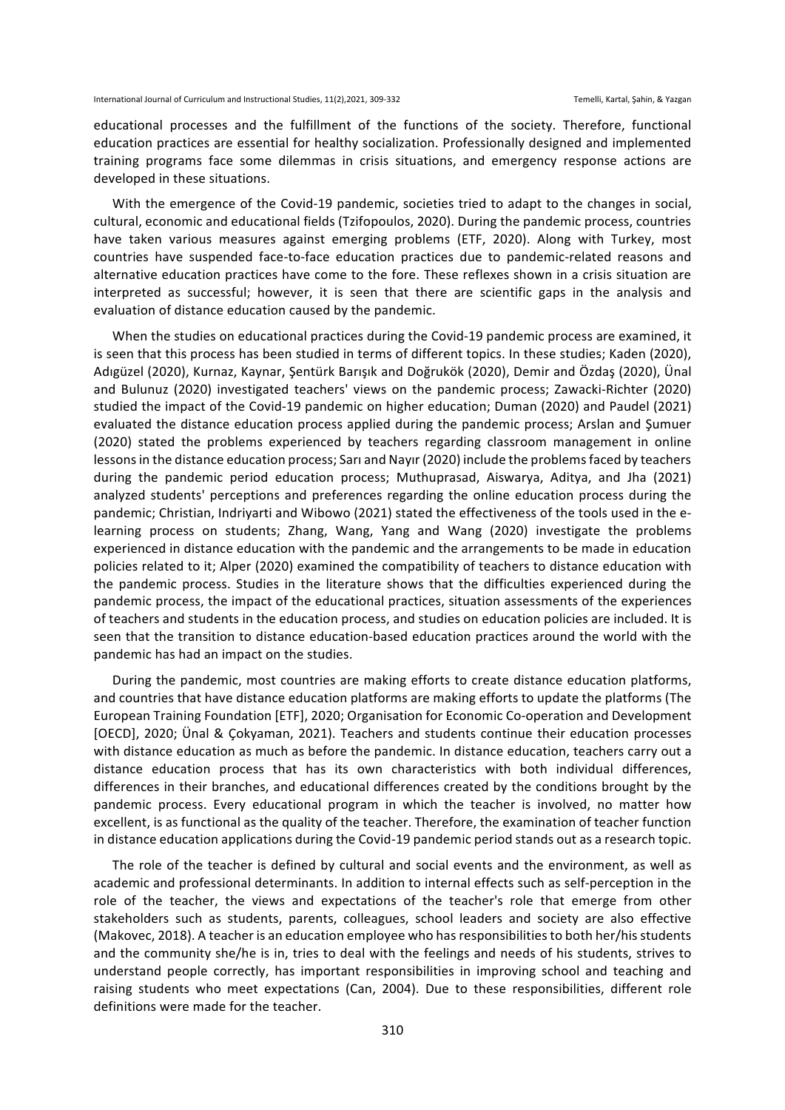educational processes and the fulfillment of the functions of the society. Therefore, functional education practices are essential for healthy socialization. Professionally designed and implemented training programs face some dilemmas in crisis situations, and emergency response actions are developed in these situations.

With the emergence of the Covid-19 pandemic, societies tried to adapt to the changes in social, cultural, economic and educational fields (Tzifopoulos, 2020). During the pandemic process, countries have taken various measures against emerging problems (ETF, 2020). Along with Turkey, most countries have suspended face-to-face education practices due to pandemic-related reasons and alternative education practices have come to the fore. These reflexes shown in a crisis situation are interpreted as successful; however, it is seen that there are scientific gaps in the analysis and evaluation of distance education caused by the pandemic.

When the studies on educational practices during the Covid-19 pandemic process are examined, it is seen that this process has been studied in terms of different topics. In these studies; Kaden (2020), Adıgüzel (2020), Kurnaz, Kaynar, Şentürk Barışık and Doğrukök (2020), Demir and Özdaş (2020), Ünal and Bulunuz (2020) investigated teachers' views on the pandemic process; Zawacki-Richter (2020) studied the impact of the Covid-19 pandemic on higher education; Duman (2020) and Paudel (2021) evaluated the distance education process applied during the pandemic process; Arslan and Şumuer (2020) stated the problems experienced by teachers regarding classroom management in online lessons in the distance education process; Sarı and Nayır (2020) include the problems faced by teachers during the pandemic period education process; Muthuprasad, Aiswarya, Aditya, and Jha (2021) analyzed students' perceptions and preferences regarding the online education process during the pandemic; Christian, Indrivarti and Wibowo (2021) stated the effectiveness of the tools used in the elearning process on students; Zhang, Wang, Yang and Wang (2020) investigate the problems experienced in distance education with the pandemic and the arrangements to be made in education policies related to it; Alper (2020) examined the compatibility of teachers to distance education with the pandemic process. Studies in the literature shows that the difficulties experienced during the pandemic process, the impact of the educational practices, situation assessments of the experiences of teachers and students in the education process, and studies on education policies are included. It is seen that the transition to distance education-based education practices around the world with the pandemic has had an impact on the studies.

During the pandemic, most countries are making efforts to create distance education platforms, and countries that have distance education platforms are making efforts to update the platforms (The European Training Foundation [ETF], 2020; Organisation for Economic Co-operation and Development [OECD], 2020; Unal & Çokyaman, 2021). Teachers and students continue their education processes with distance education as much as before the pandemic. In distance education, teachers carry out a distance education process that has its own characteristics with both individual differences, differences in their branches, and educational differences created by the conditions brought by the pandemic process. Every educational program in which the teacher is involved, no matter how excellent, is as functional as the quality of the teacher. Therefore, the examination of teacher function in distance education applications during the Covid-19 pandemic period stands out as a research topic.

The role of the teacher is defined by cultural and social events and the environment, as well as academic and professional determinants. In addition to internal effects such as self-perception in the role of the teacher, the views and expectations of the teacher's role that emerge from other stakeholders such as students, parents, colleagues, school leaders and society are also effective (Makovec, 2018). A teacher is an education employee who has responsibilities to both her/his students and the community she/he is in, tries to deal with the feelings and needs of his students, strives to understand people correctly, has important responsibilities in improving school and teaching and raising students who meet expectations (Can, 2004). Due to these responsibilities, different role definitions were made for the teacher.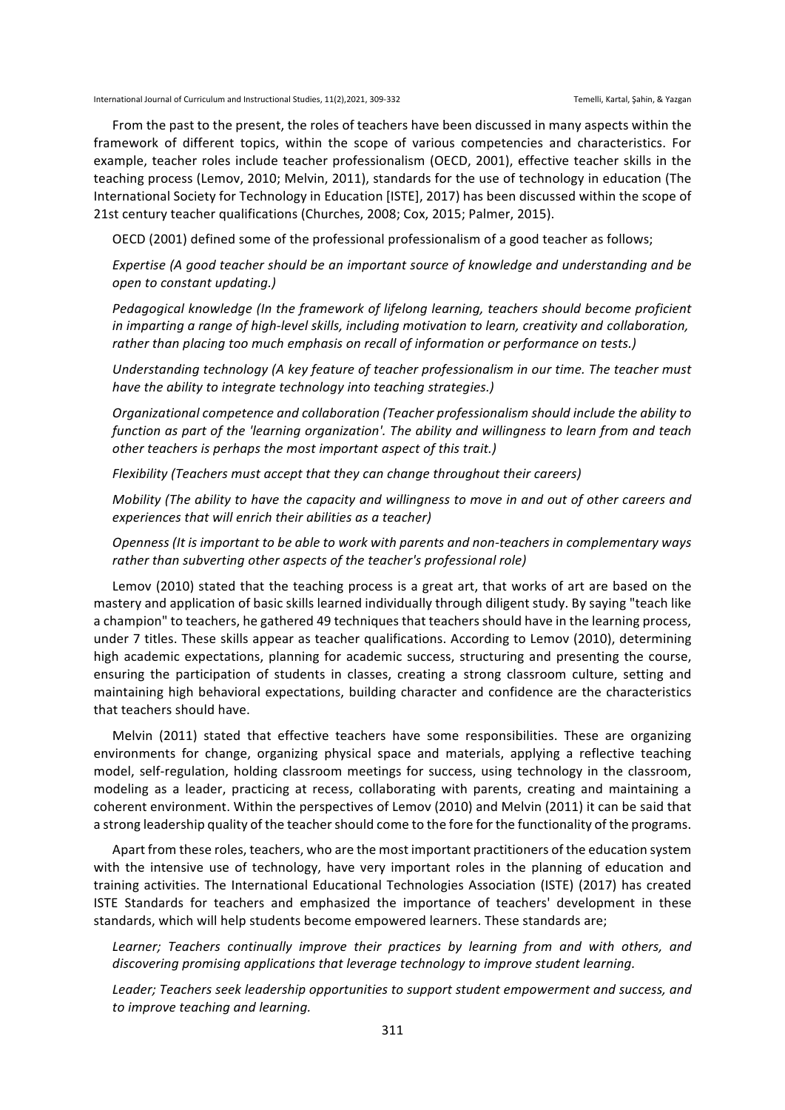From the past to the present, the roles of teachers have been discussed in many aspects within the framework of different topics, within the scope of various competencies and characteristics. For example, teacher roles include teacher professionalism (OECD, 2001), effective teacher skills in the teaching process (Lemov, 2010; Melvin, 2011), standards for the use of technology in education (The International Society for Technology in Education [ISTE], 2017) has been discussed within the scope of 21st century teacher qualifications (Churches, 2008; Cox, 2015; Palmer, 2015).

OECD (2001) defined some of the professional professionalism of a good teacher as follows;

*Expertise* (A good teacher should be an important source of knowledge and understanding and be *open to constant updating.)*

Pedagogical knowledge (In the framework of lifelong learning, teachers should become proficient in imparting a range of high-level skills, including motivation to learn, creativity and collaboration, rather than placing too much emphasis on recall of information or performance on tests.)

Understanding technology (A key feature of teacher professionalism in our time. The teacher must *have the ability to integrate technology into teaching strategies.)* 

*Organizational competence and collaboration (Teacher professionalism should include the ability to* function as part of the 'learning organization'. The ability and willingness to learn from and teach *other teachers is perhaps the most important aspect of this trait.)* 

*Flexibility* (Teachers must accept that they can change throughout their careers)

*Mobility* (The ability to have the capacity and willingness to move in and out of other careers and *experiences that will enrich their abilities as a teacher)* 

*Openness* (It is important to be able to work with parents and non-teachers in complementary ways rather than subverting other aspects of the teacher's professional role)

Lemov (2010) stated that the teaching process is a great art, that works of art are based on the mastery and application of basic skills learned individually through diligent study. By saying "teach like a champion" to teachers, he gathered 49 techniques that teachers should have in the learning process, under 7 titles. These skills appear as teacher qualifications. According to Lemov (2010), determining high academic expectations, planning for academic success, structuring and presenting the course, ensuring the participation of students in classes, creating a strong classroom culture, setting and maintaining high behavioral expectations, building character and confidence are the characteristics that teachers should have.

Melvin (2011) stated that effective teachers have some responsibilities. These are organizing environments for change, organizing physical space and materials, applying a reflective teaching model, self-regulation, holding classroom meetings for success, using technology in the classroom, modeling as a leader, practicing at recess, collaborating with parents, creating and maintaining a coherent environment. Within the perspectives of Lemov (2010) and Melvin (2011) it can be said that a strong leadership quality of the teacher should come to the fore for the functionality of the programs.

Apart from these roles, teachers, who are the most important practitioners of the education system with the intensive use of technology, have very important roles in the planning of education and training activities. The International Educational Technologies Association (ISTE) (2017) has created ISTE Standards for teachers and emphasized the importance of teachers' development in these standards, which will help students become empowered learners. These standards are;

Learner; Teachers continually *improve their practices* by learning from and with others, and discovering promising applications that leverage technology to improve student learning.

Leader; Teachers seek leadership opportunities to support student empowerment and success, and *to improve teaching and learning.*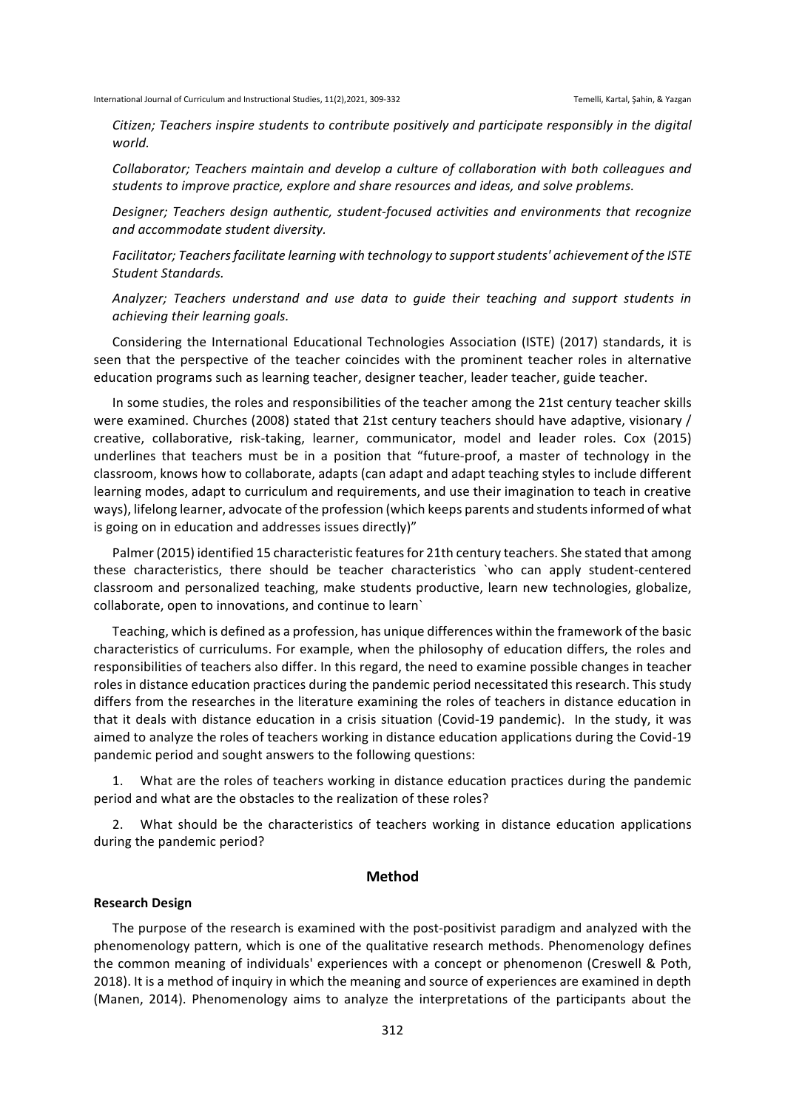*Citizen;* Teachers inspire students to contribute positively and participate responsibly in the digital *world.*

Collaborator; Teachers maintain and develop a culture of collaboration with both colleagues and students to *improve practice, explore and share resources and ideas, and solve problems.* 

Designer; Teachers design authentic, student-focused activities and environments that recognize *and accommodate student diversity.*

Facilitator; Teachers facilitate learning with technology to support students' achievement of the ISTE *Student Standards.*

*Analyzer; Teachers understand and use data to guide their teaching and support students in achieving their learning goals.*

Considering the International Educational Technologies Association (ISTE) (2017) standards, it is seen that the perspective of the teacher coincides with the prominent teacher roles in alternative education programs such as learning teacher, designer teacher, leader teacher, guide teacher.

In some studies, the roles and responsibilities of the teacher among the 21st century teacher skills were examined. Churches (2008) stated that 21st century teachers should have adaptive, visionary / creative, collaborative, risk-taking, learner, communicator, model and leader roles. Cox (2015) underlines that teachers must be in a position that "future-proof, a master of technology in the classroom, knows how to collaborate, adapts (can adapt and adapt teaching styles to include different learning modes, adapt to curriculum and requirements, and use their imagination to teach in creative ways), lifelong learner, advocate of the profession (which keeps parents and students informed of what is going on in education and addresses issues directly)"

Palmer (2015) identified 15 characteristic features for 21th century teachers. She stated that among these characteristics, there should be teacher characteristics `who can apply student-centered classroom and personalized teaching, make students productive, learn new technologies, globalize, collaborate, open to innovations, and continue to learn`

Teaching, which is defined as a profession, has unique differences within the framework of the basic characteristics of curriculums. For example, when the philosophy of education differs, the roles and responsibilities of teachers also differ. In this regard, the need to examine possible changes in teacher roles in distance education practices during the pandemic period necessitated this research. This study differs from the researches in the literature examining the roles of teachers in distance education in that it deals with distance education in a crisis situation (Covid-19 pandemic). In the study, it was aimed to analyze the roles of teachers working in distance education applications during the Covid-19 pandemic period and sought answers to the following questions:

1. What are the roles of teachers working in distance education practices during the pandemic period and what are the obstacles to the realization of these roles?

2. What should be the characteristics of teachers working in distance education applications during the pandemic period?

# **Method**

#### **Research Design**

The purpose of the research is examined with the post-positivist paradigm and analyzed with the phenomenology pattern, which is one of the qualitative research methods. Phenomenology defines the common meaning of individuals' experiences with a concept or phenomenon (Creswell & Poth, 2018). It is a method of inquiry in which the meaning and source of experiences are examined in depth (Manen, 2014). Phenomenology aims to analyze the interpretations of the participants about the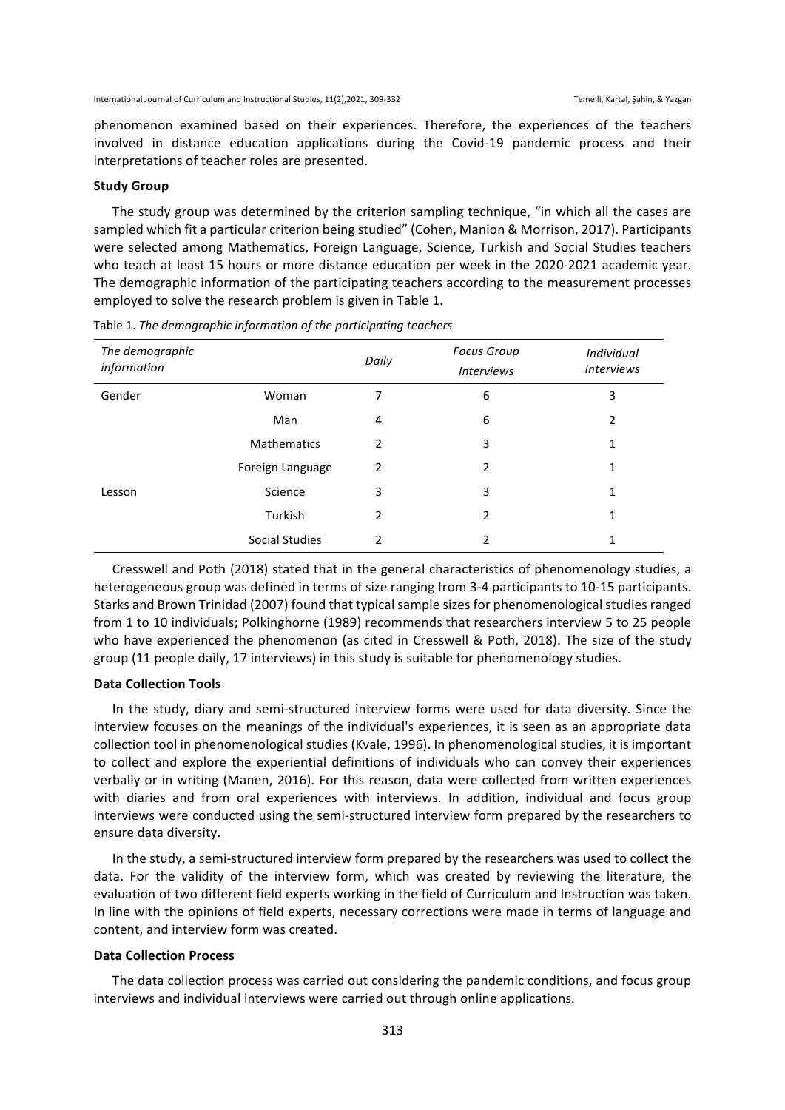phenomenon examined based on their experiences. Therefore, the experiences of the teachers involved in distance education applications during the Covid-19 pandemic process and their interpretations of teacher roles are presented.

### **Study Group**

The study group was determined by the criterion sampling technique, "in which all the cases are sampled which fit a particular criterion being studied" (Cohen, Manion & Morrison, 2017). Participants were selected among Mathematics, Foreign Language, Science, Turkish and Social Studies teachers who teach at least 15 hours or more distance education per week in the 2020-2021 academic year. The demographic information of the participating teachers according to the measurement processes employed to solve the research problem is given in Table 1.

| The demographic<br>information |                    | Daily | <b>Focus Group</b><br><b>Interviews</b> | Individual<br><b>Interviews</b> |
|--------------------------------|--------------------|-------|-----------------------------------------|---------------------------------|
| Gender                         | Woman              | 7     | 6                                       | 3                               |
|                                | Man                | 4     | 6                                       | 2                               |
|                                | <b>Mathematics</b> | 2     | 3                                       | 1                               |
|                                | Foreign Language   | 2     | 2                                       | 1                               |
| Lesson                         | Science            | 3     | 3                                       | 1                               |
|                                | Turkish            | 2     | 2                                       | 1                               |
|                                | Social Studies     | 2     | 2                                       | 1                               |

Table 1. *The demographic information of the participating teachers* 

Cresswell and Poth (2018) stated that in the general characteristics of phenomenology studies, a heterogeneous group was defined in terms of size ranging from 3-4 participants to 10-15 participants. Starks and Brown Trinidad (2007) found that typical sample sizes for phenomenological studies ranged from 1 to 10 individuals; Polkinghorne (1989) recommends that researchers interview 5 to 25 people who have experienced the phenomenon (as cited in Cresswell & Poth, 2018). The size of the study group  $(11$  people daily, 17 interviews) in this study is suitable for phenomenology studies.

#### **Data Collection Tools**

In the study, diary and semi-structured interview forms were used for data diversity. Since the interview focuses on the meanings of the individual's experiences, it is seen as an appropriate data collection tool in phenomenological studies (Kvale, 1996). In phenomenological studies, it is important to collect and explore the experiential definitions of individuals who can convey their experiences verbally or in writing (Manen, 2016). For this reason, data were collected from written experiences with diaries and from oral experiences with interviews. In addition, individual and focus group interviews were conducted using the semi-structured interview form prepared by the researchers to ensure data diversity.

In the study, a semi-structured interview form prepared by the researchers was used to collect the data. For the validity of the interview form, which was created by reviewing the literature, the evaluation of two different field experts working in the field of Curriculum and Instruction was taken. In line with the opinions of field experts, necessary corrections were made in terms of language and content, and interview form was created.

#### **Data Collection Process**

The data collection process was carried out considering the pandemic conditions, and focus group interviews and individual interviews were carried out through online applications.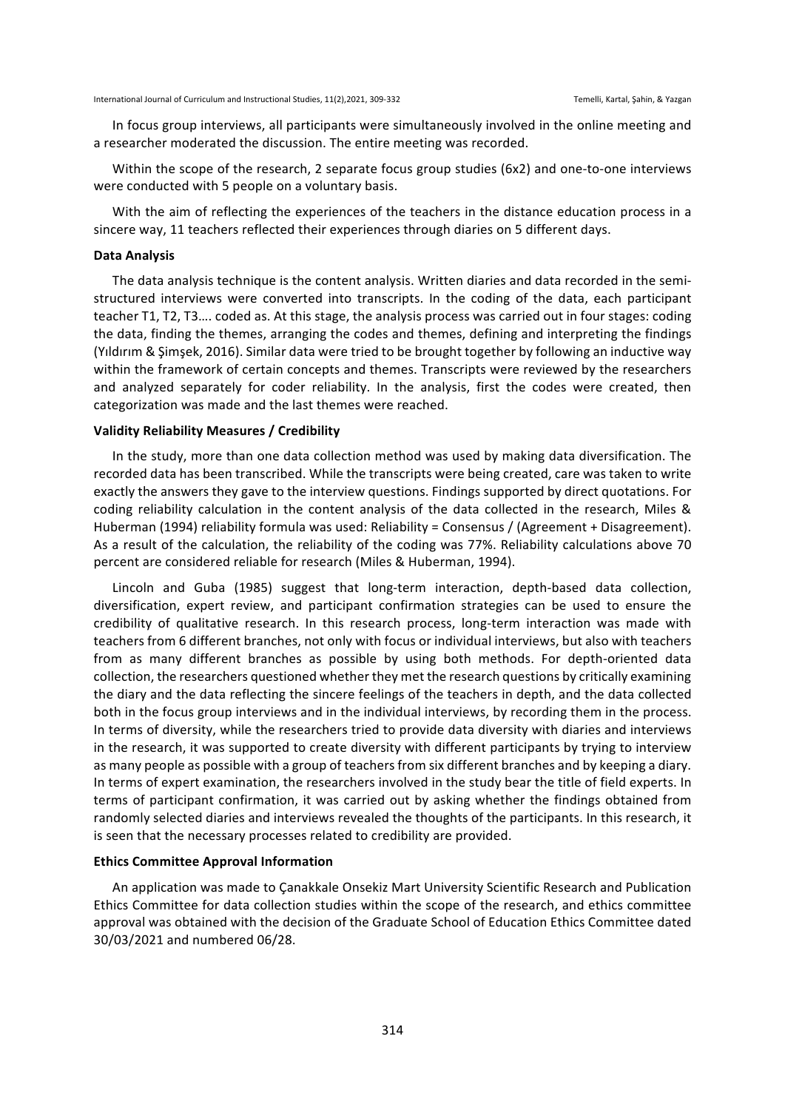In focus group interviews, all participants were simultaneously involved in the online meeting and a researcher moderated the discussion. The entire meeting was recorded.

Within the scope of the research, 2 separate focus group studies  $(6x2)$  and one-to-one interviews were conducted with 5 people on a voluntary basis.

With the aim of reflecting the experiences of the teachers in the distance education process in a sincere way, 11 teachers reflected their experiences through diaries on 5 different days.

# **Data Analysis**

The data analysis technique is the content analysis. Written diaries and data recorded in the semistructured interviews were converted into transcripts. In the coding of the data, each participant teacher T1, T2, T3.... coded as. At this stage, the analysis process was carried out in four stages: coding the data, finding the themes, arranging the codes and themes, defining and interpreting the findings (Yıldırım & Şimşek, 2016). Similar data were tried to be brought together by following an inductive way within the framework of certain concepts and themes. Transcripts were reviewed by the researchers and analyzed separately for coder reliability. In the analysis, first the codes were created, then categorization was made and the last themes were reached.

# **Validity Reliability Measures / Credibility**

In the study, more than one data collection method was used by making data diversification. The recorded data has been transcribed. While the transcripts were being created, care was taken to write exactly the answers they gave to the interview questions. Findings supported by direct quotations. For coding reliability calculation in the content analysis of the data collected in the research, Miles & Huberman (1994) reliability formula was used: Reliability = Consensus / (Agreement + Disagreement). As a result of the calculation, the reliability of the coding was 77%. Reliability calculations above 70 percent are considered reliable for research (Miles & Huberman, 1994).

Lincoln and Guba (1985) suggest that long-term interaction, depth-based data collection, diversification, expert review, and participant confirmation strategies can be used to ensure the credibility of qualitative research. In this research process, long-term interaction was made with teachers from 6 different branches, not only with focus or individual interviews, but also with teachers from as many different branches as possible by using both methods. For depth-oriented data collection, the researchers questioned whether they met the research questions by critically examining the diary and the data reflecting the sincere feelings of the teachers in depth, and the data collected both in the focus group interviews and in the individual interviews, by recording them in the process. In terms of diversity, while the researchers tried to provide data diversity with diaries and interviews in the research, it was supported to create diversity with different participants by trying to interview as many people as possible with a group of teachers from six different branches and by keeping a diary. In terms of expert examination, the researchers involved in the study bear the title of field experts. In terms of participant confirmation, it was carried out by asking whether the findings obtained from randomly selected diaries and interviews revealed the thoughts of the participants. In this research, it is seen that the necessary processes related to credibility are provided.

#### **Ethics Committee Approval Information**

An application was made to Çanakkale Onsekiz Mart University Scientific Research and Publication Ethics Committee for data collection studies within the scope of the research, and ethics committee approval was obtained with the decision of the Graduate School of Education Ethics Committee dated 30/03/2021 and numbered 06/28.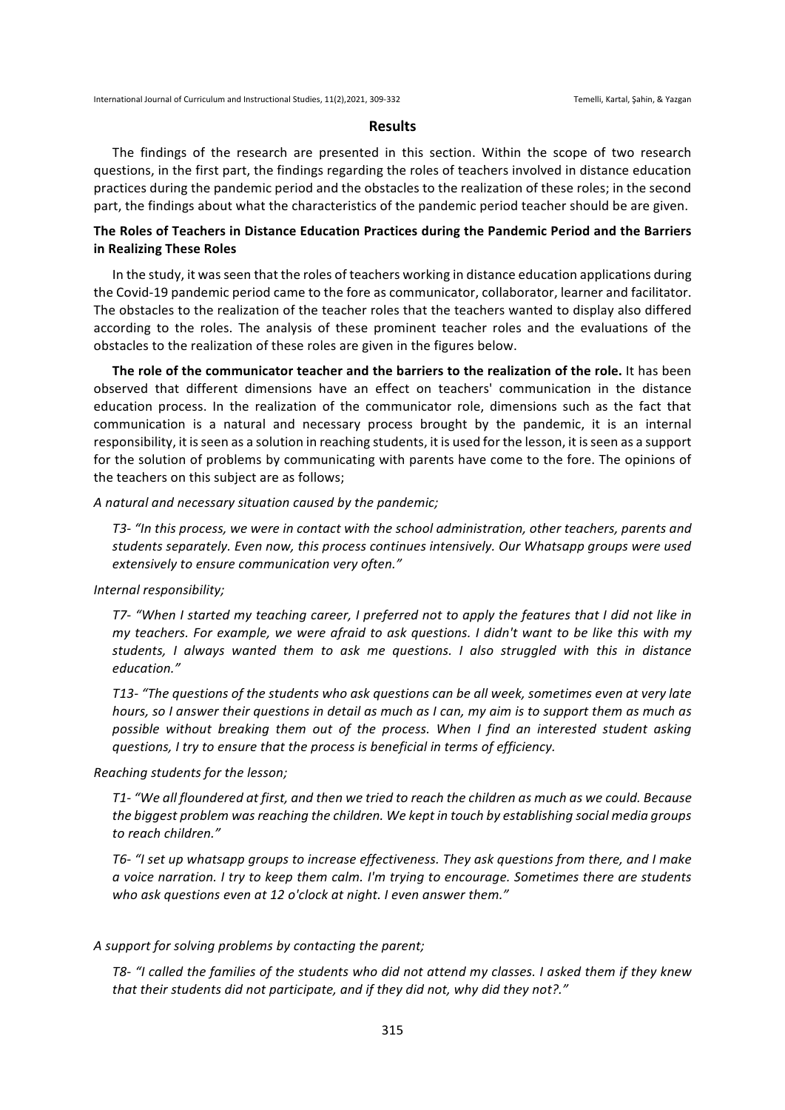### **Results**

The findings of the research are presented in this section. Within the scope of two research questions, in the first part, the findings regarding the roles of teachers involved in distance education practices during the pandemic period and the obstacles to the realization of these roles; in the second part, the findings about what the characteristics of the pandemic period teacher should be are given.

# The Roles of Teachers in Distance Education Practices during the Pandemic Period and the Barriers **in Realizing These Roles**

In the study, it was seen that the roles of teachers working in distance education applications during the Covid-19 pandemic period came to the fore as communicator, collaborator, learner and facilitator. The obstacles to the realization of the teacher roles that the teachers wanted to display also differed according to the roles. The analysis of these prominent teacher roles and the evaluations of the obstacles to the realization of these roles are given in the figures below.

**The role of the communicator teacher and the barriers to the realization of the role.** It has been observed that different dimensions have an effect on teachers' communication in the distance education process. In the realization of the communicator role, dimensions such as the fact that communication is a natural and necessary process brought by the pandemic, it is an internal responsibility, it is seen as a solution in reaching students, it is used for the lesson, it is seen as a support for the solution of problems by communicating with parents have come to the fore. The opinions of the teachers on this subject are as follows;

### A natural and necessary situation caused by the pandemic;

T3- "In this process, we were in contact with the school administration, other teachers, parents and students separately. Even now, this process continues intensively. Our Whatsapp groups were used *extensively to ensure communication very often."*

#### Internal responsibility;

*T7-* "When I started my teaching career, I preferred not to apply the features that I did not like in *my* teachers. For example, we were afraid to ask questions. I didn't want to be like this with my students, I always wanted them to ask me questions. I also struggled with this in distance *education."*

*T13-* "The questions of the students who ask questions can be all week, sometimes even at very late *hours, so I* answer their questions in detail as much as I can, my aim is to support them as much as possible without breaking them out of the process. When I find an interested student asking *questions, I try to ensure that the process is beneficial in terms of efficiency.*

### *Reaching students for the lesson;*

*T1-* "We all floundered at first, and then we tried to reach the children as much as we could. Because the biggest problem was reaching the children. We kept in touch by establishing social media groups *to reach children."*

T6- "I set up whatsapp groups to increase effectiveness. They ask questions from there, and I make *a* voice narration. I try to keep them calm. I'm trying to encourage. Sometimes there are students who ask questions even at 12 o'clock at night. I even answer them."

## A support for solving problems by contacting the parent;

*T8-* "I called the families of the students who did not attend my classes. I asked them if they knew that their students did not participate, and if they did not, why did they not?."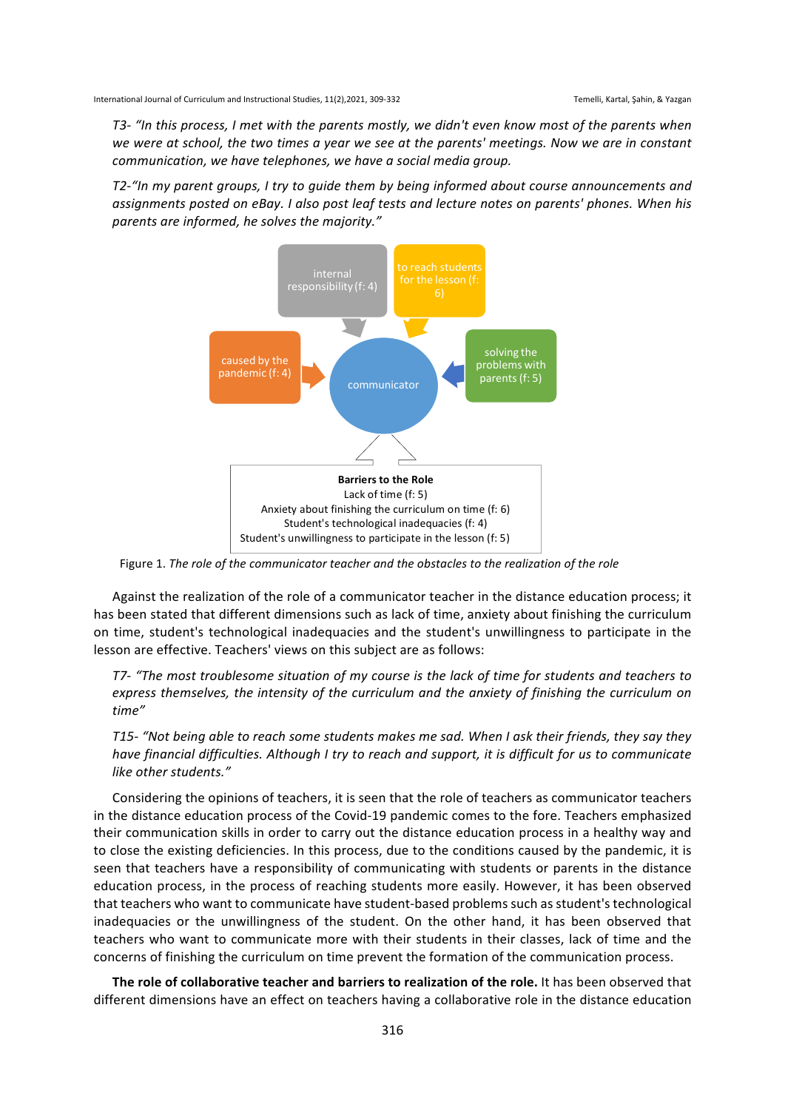*T3-* "In this process, I met with the parents mostly, we didn't even know most of the parents when we were at school, the two times a year we see at the parents' meetings. Now we are in constant *communication, we have telephones, we have a social media group.*

T2-"In my parent groups, I try to guide them by being informed about course announcements and assignments posted on eBay. I also post leaf tests and lecture notes on parents' phones. When his parents are informed, he solves the majority."



Figure 1. The role of the communicator teacher and the obstacles to the realization of the role

Against the realization of the role of a communicator teacher in the distance education process; it has been stated that different dimensions such as lack of time, anxiety about finishing the curriculum on time, student's technological inadequacies and the student's unwillingness to participate in the lesson are effective. Teachers' views on this subject are as follows:

T7- "The most troublesome situation of my course is the lack of time for students and teachers to express themselves, the intensity of the curriculum and the anxiety of finishing the curriculum on *time"*

*T15-* "Not being able to reach some students makes me sad. When I ask their friends, they say they *have financial difficulties. Although I try to reach and support, it is difficult for us to communicate like other students."*

Considering the opinions of teachers, it is seen that the role of teachers as communicator teachers in the distance education process of the Covid-19 pandemic comes to the fore. Teachers emphasized their communication skills in order to carry out the distance education process in a healthy way and to close the existing deficiencies. In this process, due to the conditions caused by the pandemic, it is seen that teachers have a responsibility of communicating with students or parents in the distance education process, in the process of reaching students more easily. However, it has been observed that teachers who want to communicate have student-based problems such as student's technological inadequacies or the unwillingness of the student. On the other hand, it has been observed that teachers who want to communicate more with their students in their classes, lack of time and the concerns of finishing the curriculum on time prevent the formation of the communication process.

The role of collaborative teacher and barriers to realization of the role. It has been observed that different dimensions have an effect on teachers having a collaborative role in the distance education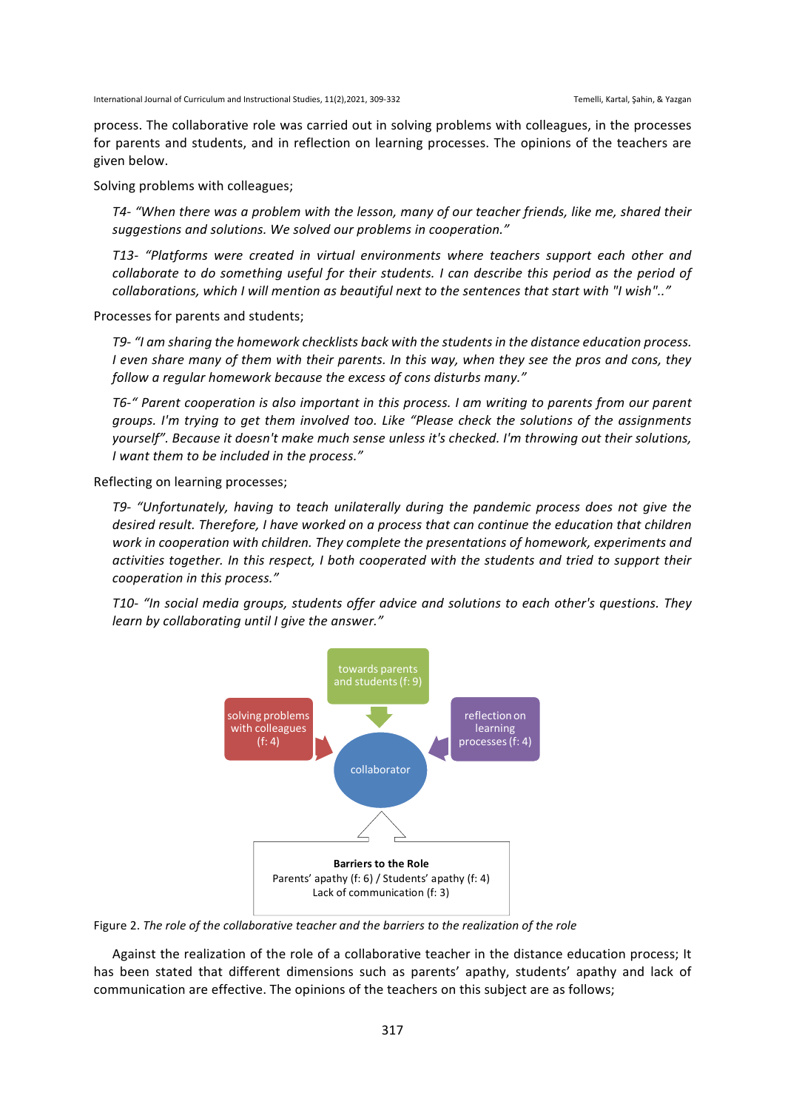process. The collaborative role was carried out in solving problems with colleagues, in the processes for parents and students, and in reflection on learning processes. The opinions of the teachers are given below.

Solving problems with colleagues;

T4- "When there was a problem with the lesson, many of our teacher friends, like me, shared their suggestions and solutions. We solved our problems in cooperation."

*T13- "Platforms were created in virtual environments where teachers support each other and collaborate to do something useful for their students.* I can describe this period as the period of collaborations, which I will mention as beautiful next to the sentences that start with "I wish".."

Processes for parents and students;

*T9-* "I am sharing the homework checklists back with the students in the distance education process. *I* even share many of them with their parents. In this way, when they see the pros and cons, they follow a regular homework because the excess of cons disturbs many."

T6-" Parent cooperation is also important in this process. I am writing to parents from our parent *groups.* I'm trying to get them involved too. Like "Please check the solutions of the assignments *yourself".* Because it doesn't make much sense unless it's checked. I'm throwing out their solutions, *I* want them to be included in the process."

Reflecting on learning processes;

*T9-* "Unfortunately, having to teach unilaterally during the pandemic process does not give the desired result. Therefore, I have worked on a process that can continue the education that children work in cooperation with children. They complete the presentations of homework, experiments and activities together. In this respect, I both cooperated with the students and tried to support their *cooperation in this process."*

*T10- "In social media groups, students offer advice and solutions to each other's questions. They learn by collaborating until I give the answer."* 



Figure 2. The role of the collaborative teacher and the barriers to the realization of the role

Against the realization of the role of a collaborative teacher in the distance education process; It has been stated that different dimensions such as parents' apathy, students' apathy and lack of communication are effective. The opinions of the teachers on this subject are as follows;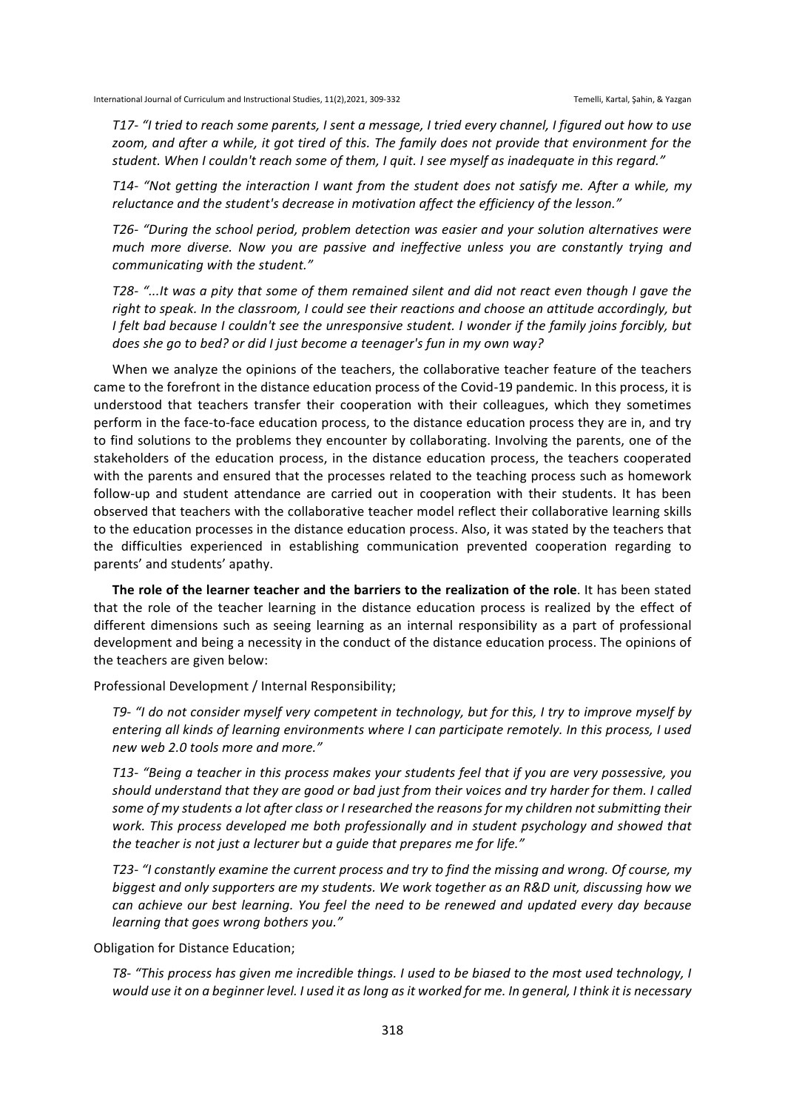*T17-* "I tried to reach some parents, I sent a message, I tried every channel, I figured out how to use zoom, and after a while, it got tired of this. The family does not provide that environment for the student. When I couldn't reach some of them, I quit. I see myself as inadequate in this regard."

T14- "Not getting the interaction I want from the student does not satisfy me. After a while, my reluctance and the student's decrease in motivation affect the efficiency of the lesson."

T26- "During the school period, problem detection was easier and your solution alternatives were *much* more diverse. Now you are passive and ineffective unless you are constantly trying and *communicating with the student."*

*T28-* "...It was a pity that some of them remained silent and did not react even though I gave the right to speak. In the classroom, I could see their reactions and choose an attitude accordingly, but *I* felt bad because *I* couldn't see the unresponsive student. *I* wonder if the family joins forcibly, but *does* she go to bed? or did I just become a teenager's fun in my own way?

When we analyze the opinions of the teachers, the collaborative teacher feature of the teachers came to the forefront in the distance education process of the Covid-19 pandemic. In this process, it is understood that teachers transfer their cooperation with their colleagues, which they sometimes perform in the face-to-face education process, to the distance education process they are in, and try to find solutions to the problems they encounter by collaborating. Involving the parents, one of the stakeholders of the education process, in the distance education process, the teachers cooperated with the parents and ensured that the processes related to the teaching process such as homework follow-up and student attendance are carried out in cooperation with their students. It has been observed that teachers with the collaborative teacher model reflect their collaborative learning skills to the education processes in the distance education process. Also, it was stated by the teachers that the difficulties experienced in establishing communication prevented cooperation regarding to parents' and students' apathy.

The role of the learner teacher and the barriers to the realization of the role. It has been stated that the role of the teacher learning in the distance education process is realized by the effect of different dimensions such as seeing learning as an internal responsibility as a part of professional development and being a necessity in the conduct of the distance education process. The opinions of the teachers are given below:

Professional Development / Internal Responsibility;

*T9-* "I do not consider myself very competent in technology, but for this, I try to improve myself by *entering all kinds of learning environments where I can participate remotely. In this process, I used new web 2.0 tools more and more."*

T13- "Being a teacher in this process makes your students feel that if you are very possessive, you should understand that they are good or bad just from their voices and try harder for them. I called some of my students a lot after class or I researched the reasons for my children not submitting their work. This process developed me both professionally and in student psychology and showed that the teacher is not just a lecturer but a quide that prepares me for life."

*T23-* "I constantly examine the current process and try to find the missing and wrong. Of course, my biggest and only supporters are my students. We work together as an R&D unit, discussing how we can achieve our best learning. You feel the need to be renewed and updated every day because *learning that goes wrong bothers you."* 

Obligation for Distance Education;

T8- "This process has given me incredible things. I used to be biased to the most used technology, I would use it on a beginner level. I used it as long as it worked for me. In general, I think it is necessary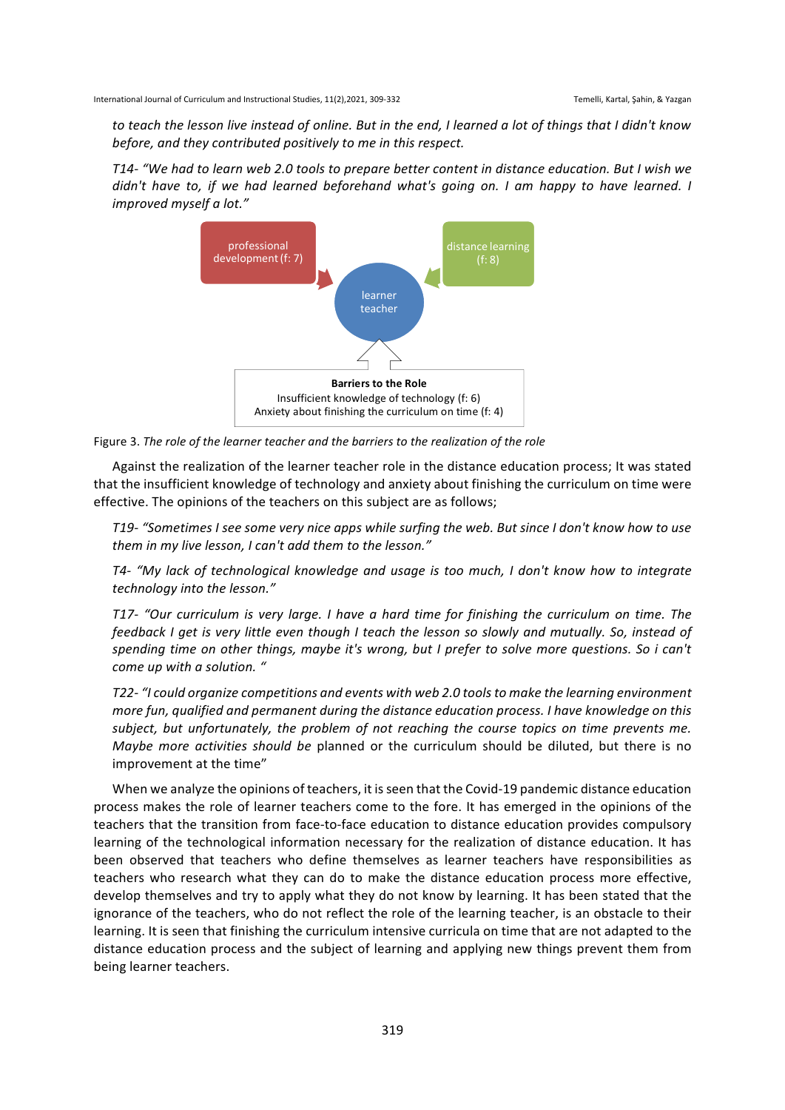to teach the lesson live instead of online. But in the end, I learned a lot of things that I didn't know *before, and they contributed positively to me in this respect.* 

*T14-* "We had to learn web 2.0 tools to prepare better content in distance education. But I wish we *didn't* have to, if we had learned beforehand what's going on. I am happy to have learned. I *improved myself a lot."*



Figure 3. The role of the learner teacher and the barriers to the realization of the role

Against the realization of the learner teacher role in the distance education process; It was stated that the insufficient knowledge of technology and anxiety about finishing the curriculum on time were effective. The opinions of the teachers on this subject are as follows;

*T19-* "Sometimes I see some very nice apps while surfing the web. But since I don't know how to use them in my live lesson, I can't add them to the lesson."

*T4-* "My lack of technological knowledge and usage is too much, I don't know how to integrate *technology into the lesson."*

*T17-* "Our curriculum is very large. I have a hard time for finishing the curriculum on time. The *feedback I get is very little even though I teach the lesson so slowly and mutually. So, instead of spending time on other things, maybe it's wrong, but I prefer to solve more questions. So i can't come up with a solution.* "

*T22-* "I could organize competitions and events with web 2.0 tools to make the learning environment more fun, qualified and permanent during the distance education process. I have knowledge on this *subject, but unfortunately, the problem of not reaching the course topics on time prevents me. Maybe more activities should be* planned or the curriculum should be diluted, but there is no improvement at the time"

When we analyze the opinions of teachers, it is seen that the Covid-19 pandemic distance education process makes the role of learner teachers come to the fore. It has emerged in the opinions of the teachers that the transition from face-to-face education to distance education provides compulsory learning of the technological information necessary for the realization of distance education. It has been observed that teachers who define themselves as learner teachers have responsibilities as teachers who research what they can do to make the distance education process more effective, develop themselves and try to apply what they do not know by learning. It has been stated that the ignorance of the teachers, who do not reflect the role of the learning teacher, is an obstacle to their learning. It is seen that finishing the curriculum intensive curricula on time that are not adapted to the distance education process and the subject of learning and applying new things prevent them from being learner teachers.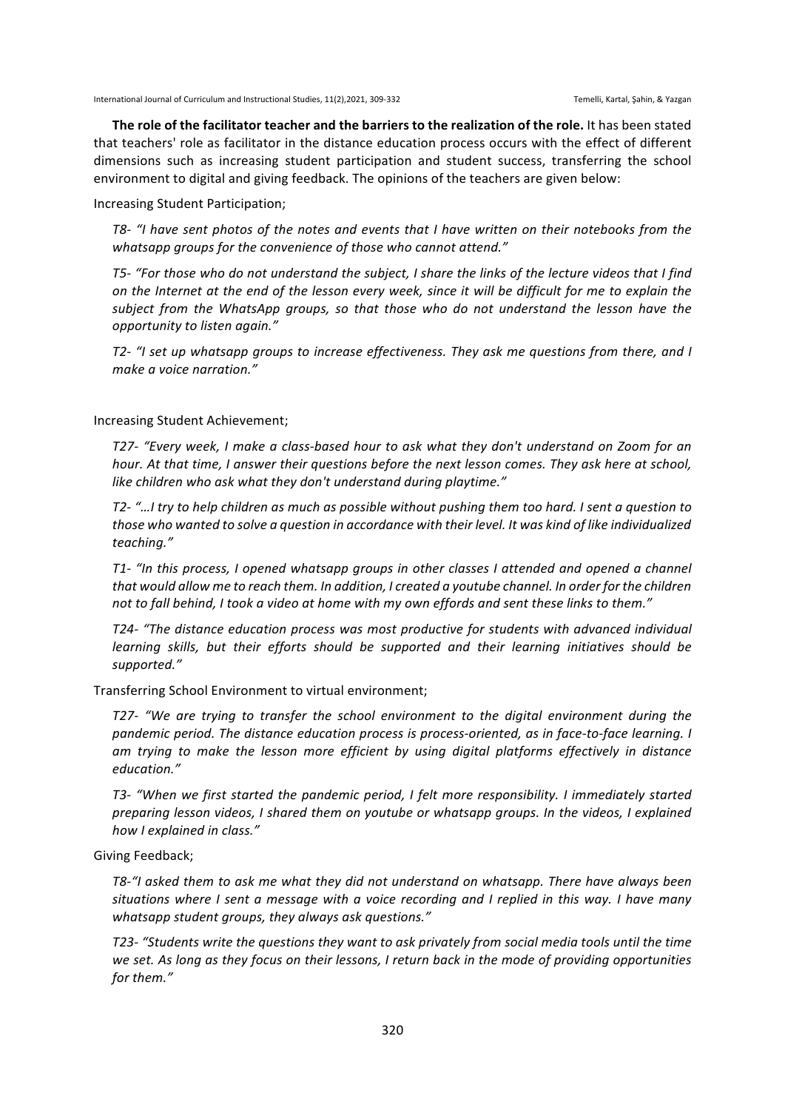The role of the facilitator teacher and the barriers to the realization of the role. It has been stated that teachers' role as facilitator in the distance education process occurs with the effect of different dimensions such as increasing student participation and student success, transferring the school environment to digital and giving feedback. The opinions of the teachers are given below:

Increasing Student Participation;

*T8-* "I have sent photos of the notes and events that I have written on their notebooks from the whatsapp groups for the convenience of those who cannot attend."

*T5-* "For those who do not understand the subject, I share the links of the lecture videos that I find *on* the Internet at the end of the lesson every week, since it will be difficult for me to explain the subject from the WhatsApp groups, so that those who do not understand the lesson have the *opportunity to listen again."*

*T2-* "I set up whatsapp groups to increase effectiveness. They ask me questions from there, and I *make a voice narration."* 

Increasing Student Achievement;

*T27- "Every week, I make a class-based hour to ask what they don't understand on Zoom for an hour.* At that time, I answer their questions before the next lesson comes. They ask here at school, like children who ask what they don't understand during playtime."

*T2-* "…I try to help children as much as possible without pushing them too hard. I sent a question to those who wanted to solve a question in accordance with their level. It was kind of like individualized *teaching."*

*T1-* "In this process, I opened whatsapp groups in other classes I attended and opened a channel that would allow me to reach them. In addition, I created a youtube channel. In order for the children not to fall behind, I took a video at home with my own effords and sent these links to them."

T24- "The distance education process was most productive for students with advanced individual *learning* skills, but their efforts should be supported and their learning initiatives should be *supported."*

Transferring School Environment to virtual environment;

*T27-* "We are trying to transfer the school environment to the digital environment during the pandemic period. The distance education process is process-oriented, as in face-to-face learning. I *am trying to make the lesson more efficient by using digital platforms effectively in distance education."*

*T3-* "When we first started the pandemic period, I felt more responsibility. I immediately started preparing lesson videos, I shared them on youtube or whatsapp groups. In the videos, I explained *how I explained in class."*

Giving Feedback;

T8-"I asked them to ask me what they did not understand on whatsapp. There have always been situations where I sent a message with a voice recording and I replied in this way. I have many whatsapp student aroups, they always ask auestions."

T23- "Students write the questions they want to ask privately from social media tools until the time we set. As long as they focus on their lessons, I return back in the mode of providing opportunities *for them."*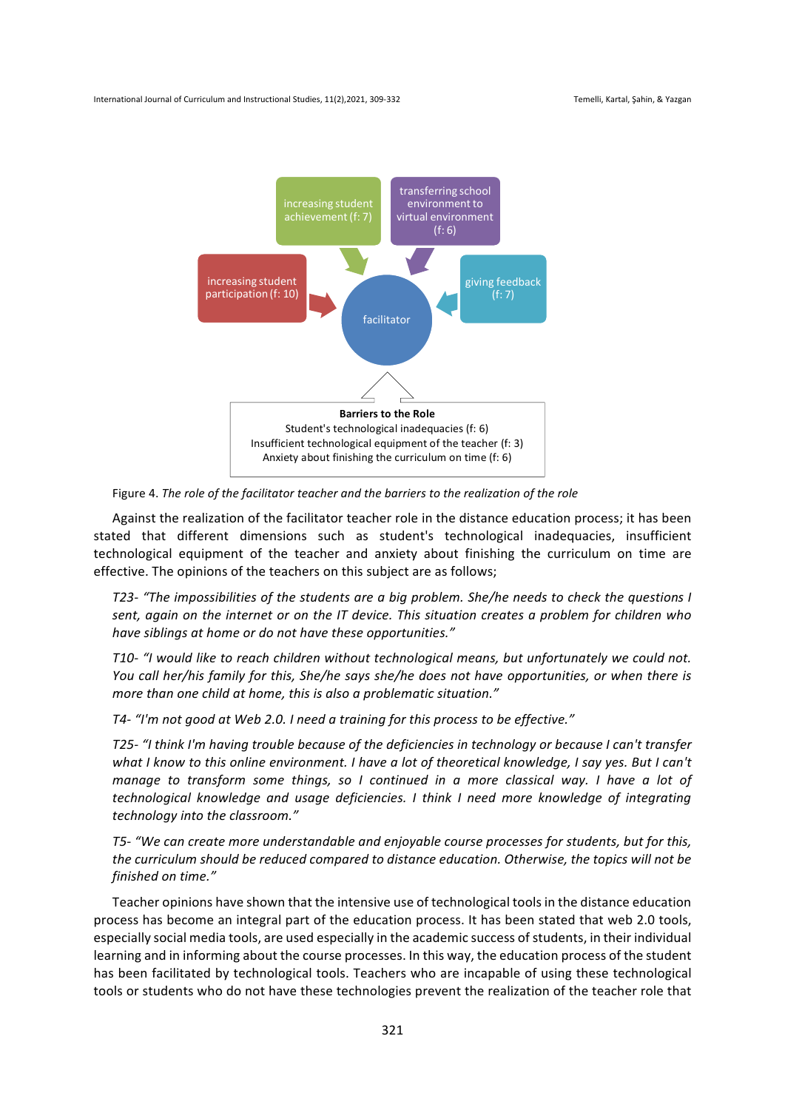

Figure 4. The role of the facilitator teacher and the barriers to the realization of the role

Against the realization of the facilitator teacher role in the distance education process; it has been stated that different dimensions such as student's technological inadequacies, insufficient technological equipment of the teacher and anxiety about finishing the curriculum on time are effective. The opinions of the teachers on this subject are as follows;

*T23-* "The impossibilities of the students are a big problem. She/he needs to check the questions I sent, again on the internet or on the IT device. This situation creates a problem for children who have siblings at home or do not have these opportunities."

*T10- "I would like to reach children without technological means, but unfortunately we could not. You* call her/his family for this, She/he says she/he does not have opportunities, or when there is more than one child at home, this is also a problematic situation."

T4- "I'm not good at Web 2.0. I need a training for this process to be effective."

*T25-* "I think I'm having trouble because of the deficiencies in technology or because I can't transfer what I know to this online environment. I have a lot of theoretical knowledge, I say yes. But I can't *manage to transform some things, so I continued in a more classical way.* I have a lot of *technological knowledge and usage deficiencies.* I think I need more knowledge of integrating *technology into the classroom."*

T5- "We can create more understandable and enjoyable course processes for students, but for this, the curriculum should be reduced compared to distance education. Otherwise, the topics will not be *finished on time."*

Teacher opinions have shown that the intensive use of technological tools in the distance education process has become an integral part of the education process. It has been stated that web 2.0 tools, especially social media tools, are used especially in the academic success of students, in their individual learning and in informing about the course processes. In this way, the education process of the student has been facilitated by technological tools. Teachers who are incapable of using these technological tools or students who do not have these technologies prevent the realization of the teacher role that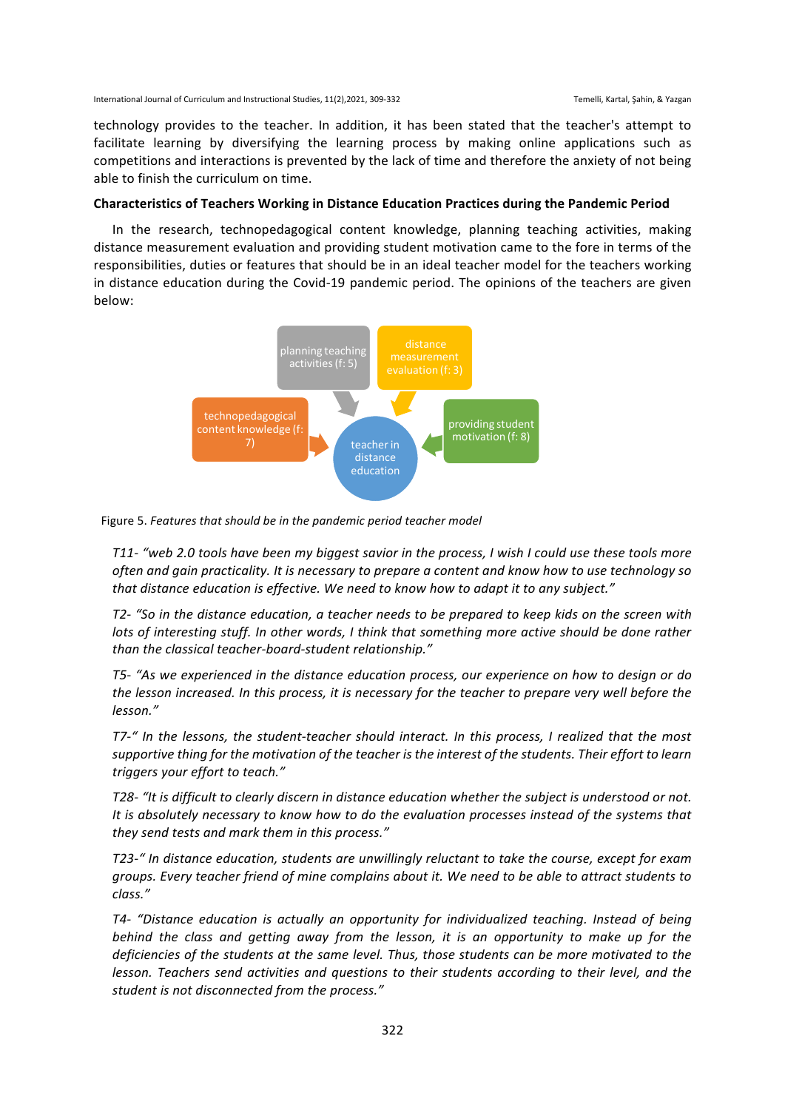technology provides to the teacher. In addition, it has been stated that the teacher's attempt to facilitate learning by diversifying the learning process by making online applications such as competitions and interactions is prevented by the lack of time and therefore the anxiety of not being able to finish the curriculum on time.

#### Characteristics of Teachers Working in Distance Education Practices during the Pandemic Period

In the research, technopedagogical content knowledge, planning teaching activities, making distance measurement evaluation and providing student motivation came to the fore in terms of the responsibilities, duties or features that should be in an ideal teacher model for the teachers working in distance education during the Covid-19 pandemic period. The opinions of the teachers are given below:



Figure 5. Features that should be in the pandemic period teacher model

*T11-* "web 2.0 tools have been my biggest savior in the process, I wish I could use these tools more often and agin practicality. It is necessary to prepare a content and know how to use technology so that distance education is effective. We need to know how to adapt it to any subject."

*T2-* "So in the distance education, a teacher needs to be prepared to keep kids on the screen with *lots* of interesting *stuff.* In other words, I think that something more active should be done rather *than the classical teacher-board-student relationship."*

*T5-* "As we experienced in the distance education process, our experience on how to design or do the lesson increased. In this process, it is necessary for the teacher to prepare very well before the *lesson."*

*T7-"* In the lessons, the student-teacher should interact. In this process, I realized that the most supportive thing for the motivation of the teacher is the interest of the students. Their effort to learn *triggers your effort to teach."*

*T28-* "It is difficult to clearly discern in distance education whether the subject is understood or not. It is absolutely necessary to know how to do the evaluation processes instead of the systems that *they send tests and mark them in this process."*

T23-" In distance education, students are unwillingly reluctant to take the course, except for exam *groups. Every teacher friend of mine complains about it. We need to be able to attract students to class."*

*T4-* "Distance education is actually an opportunity for individualized teaching. Instead of being *behind* the class and getting away from the lesson, it is an opportunity to make up for the *deficiencies* of the students at the same level. Thus, those students can be more motivated to the *lesson.* Teachers send activities and questions to their students according to their level, and the student is not disconnected from the process."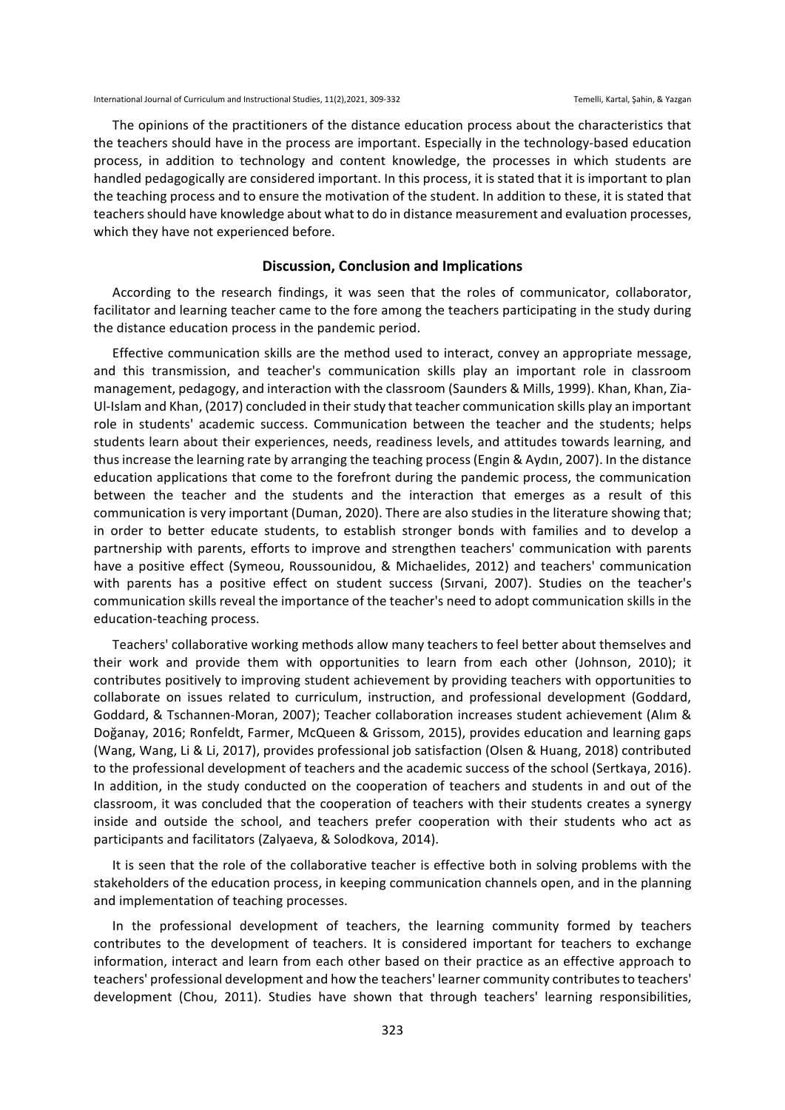The opinions of the practitioners of the distance education process about the characteristics that the teachers should have in the process are important. Especially in the technology-based education process, in addition to technology and content knowledge, the processes in which students are handled pedagogically are considered important. In this process, it is stated that it is important to plan the teaching process and to ensure the motivation of the student. In addition to these, it is stated that teachers should have knowledge about what to do in distance measurement and evaluation processes, which they have not experienced before.

## **Discussion, Conclusion and Implications**

According to the research findings, it was seen that the roles of communicator, collaborator, facilitator and learning teacher came to the fore among the teachers participating in the study during the distance education process in the pandemic period.

Effective communication skills are the method used to interact, convey an appropriate message, and this transmission, and teacher's communication skills play an important role in classroom management, pedagogy, and interaction with the classroom (Saunders & Mills, 1999). Khan, Khan, Zia-Ul-Islam and Khan, (2017) concluded in their study that teacher communication skills play an important role in students' academic success. Communication between the teacher and the students; helps students learn about their experiences, needs, readiness levels, and attitudes towards learning, and thus increase the learning rate by arranging the teaching process (Engin & Aydın, 2007). In the distance education applications that come to the forefront during the pandemic process, the communication between the teacher and the students and the interaction that emerges as a result of this communication is very important (Duman, 2020). There are also studies in the literature showing that; in order to better educate students, to establish stronger bonds with families and to develop a partnership with parents, efforts to improve and strengthen teachers' communication with parents have a positive effect (Symeou, Roussounidou, & Michaelides, 2012) and teachers' communication with parents has a positive effect on student success (Sırvani, 2007). Studies on the teacher's communication skills reveal the importance of the teacher's need to adopt communication skills in the education-teaching process.

Teachers' collaborative working methods allow many teachers to feel better about themselves and their work and provide them with opportunities to learn from each other (Johnson, 2010); it contributes positively to improving student achievement by providing teachers with opportunities to collaborate on issues related to curriculum, instruction, and professional development (Goddard, Goddard, & Tschannen-Moran, 2007); Teacher collaboration increases student achievement (Alım & Doğanay, 2016; Ronfeldt, Farmer, McQueen & Grissom, 2015), provides education and learning gaps (Wang, Wang, Li & Li, 2017), provides professional job satisfaction (Olsen & Huang, 2018) contributed to the professional development of teachers and the academic success of the school (Sertkaya, 2016). In addition, in the study conducted on the cooperation of teachers and students in and out of the classroom, it was concluded that the cooperation of teachers with their students creates a synergy inside and outside the school, and teachers prefer cooperation with their students who act as participants and facilitators (Zalyaeva, & Solodkova, 2014).

It is seen that the role of the collaborative teacher is effective both in solving problems with the stakeholders of the education process, in keeping communication channels open, and in the planning and implementation of teaching processes.

In the professional development of teachers, the learning community formed by teachers contributes to the development of teachers. It is considered important for teachers to exchange information, interact and learn from each other based on their practice as an effective approach to teachers' professional development and how the teachers' learner community contributes to teachers' development (Chou, 2011). Studies have shown that through teachers' learning responsibilities,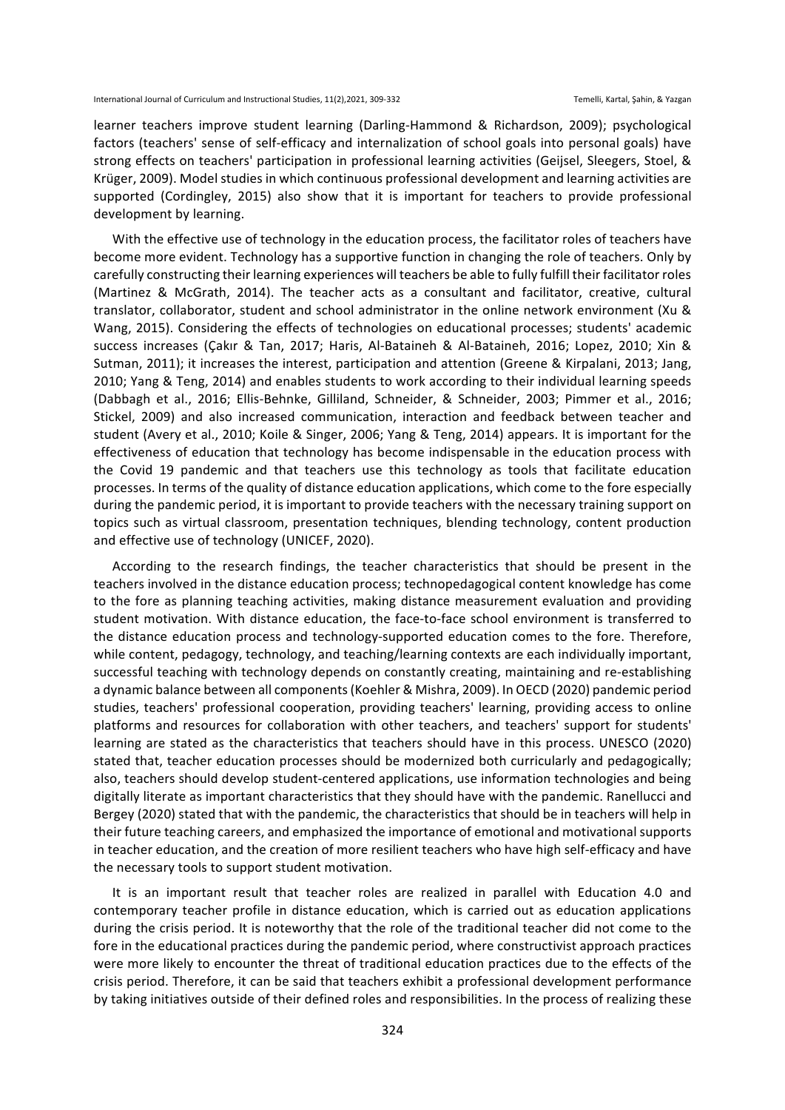learner teachers improve student learning (Darling-Hammond & Richardson, 2009); psychological factors (teachers' sense of self-efficacy and internalization of school goals into personal goals) have strong effects on teachers' participation in professional learning activities (Geijsel, Sleegers, Stoel, & Krüger, 2009). Model studies in which continuous professional development and learning activities are supported (Cordingley, 2015) also show that it is important for teachers to provide professional development by learning.

With the effective use of technology in the education process, the facilitator roles of teachers have become more evident. Technology has a supportive function in changing the role of teachers. Only by carefully constructing their learning experiences will teachers be able to fully fulfill their facilitator roles (Martinez & McGrath, 2014). The teacher acts as a consultant and facilitator, creative, cultural translator, collaborator, student and school administrator in the online network environment (Xu & Wang, 2015). Considering the effects of technologies on educational processes; students' academic success increases (Çakır & Tan, 2017; Haris, Al-Bataineh & Al-Bataineh, 2016; Lopez, 2010; Xin & Sutman, 2011); it increases the interest, participation and attention (Greene & Kirpalani, 2013; Jang, 2010; Yang & Teng, 2014) and enables students to work according to their individual learning speeds (Dabbagh et al., 2016; Ellis-Behnke, Gilliland, Schneider, & Schneider, 2003; Pimmer et al., 2016; Stickel, 2009) and also increased communication, interaction and feedback between teacher and student (Avery et al., 2010; Koile & Singer, 2006; Yang & Teng, 2014) appears. It is important for the effectiveness of education that technology has become indispensable in the education process with the Covid 19 pandemic and that teachers use this technology as tools that facilitate education processes. In terms of the quality of distance education applications, which come to the fore especially during the pandemic period, it is important to provide teachers with the necessary training support on topics such as virtual classroom, presentation techniques, blending technology, content production and effective use of technology (UNICEF, 2020).

According to the research findings, the teacher characteristics that should be present in the teachers involved in the distance education process; technopedagogical content knowledge has come to the fore as planning teaching activities, making distance measurement evaluation and providing student motivation. With distance education, the face-to-face school environment is transferred to the distance education process and technology-supported education comes to the fore. Therefore, while content, pedagogy, technology, and teaching/learning contexts are each individually important, successful teaching with technology depends on constantly creating, maintaining and re-establishing a dynamic balance between all components (Koehler & Mishra, 2009). In OECD (2020) pandemic period studies, teachers' professional cooperation, providing teachers' learning, providing access to online platforms and resources for collaboration with other teachers, and teachers' support for students' learning are stated as the characteristics that teachers should have in this process. UNESCO (2020) stated that, teacher education processes should be modernized both curricularly and pedagogically; also, teachers should develop student-centered applications, use information technologies and being digitally literate as important characteristics that they should have with the pandemic. Ranellucci and Bergey (2020) stated that with the pandemic, the characteristics that should be in teachers will help in their future teaching careers, and emphasized the importance of emotional and motivational supports in teacher education, and the creation of more resilient teachers who have high self-efficacy and have the necessary tools to support student motivation.

It is an important result that teacher roles are realized in parallel with Education 4.0 and contemporary teacher profile in distance education, which is carried out as education applications during the crisis period. It is noteworthy that the role of the traditional teacher did not come to the fore in the educational practices during the pandemic period, where constructivist approach practices were more likely to encounter the threat of traditional education practices due to the effects of the crisis period. Therefore, it can be said that teachers exhibit a professional development performance by taking initiatives outside of their defined roles and responsibilities. In the process of realizing these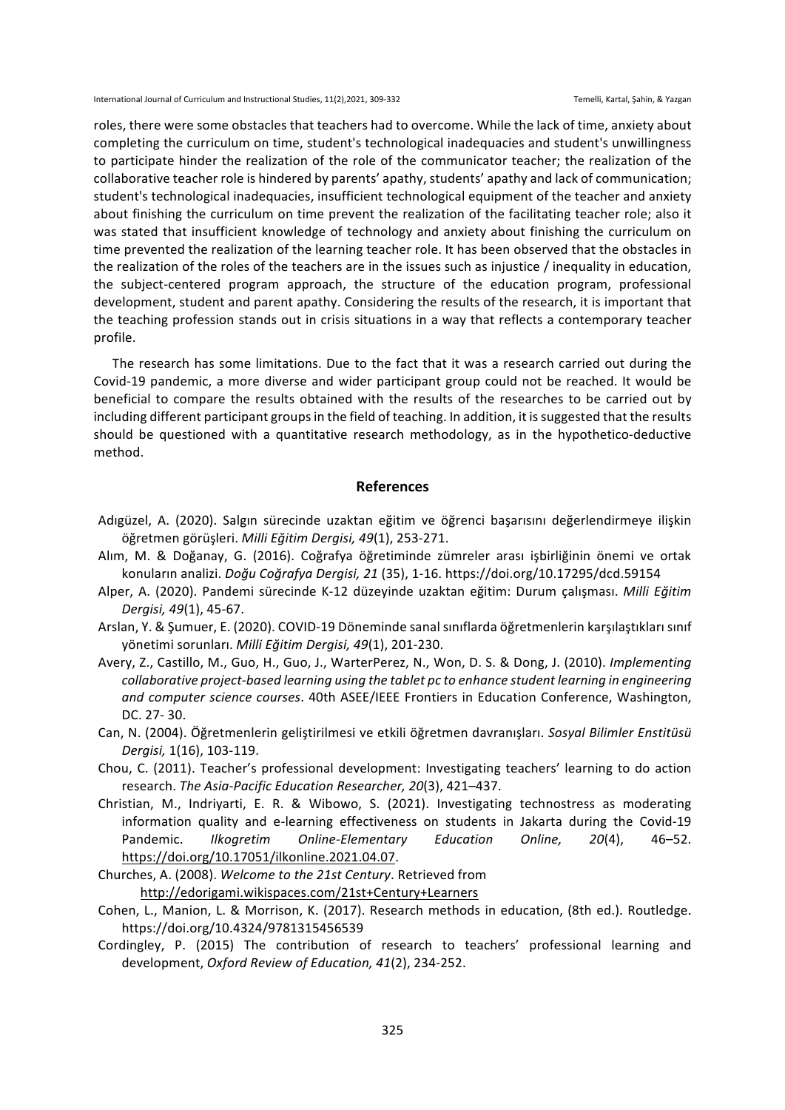roles, there were some obstacles that teachers had to overcome. While the lack of time, anxiety about completing the curriculum on time, student's technological inadequacies and student's unwillingness to participate hinder the realization of the role of the communicator teacher; the realization of the collaborative teacher role is hindered by parents' apathy, students' apathy and lack of communication; student's technological inadequacies, insufficient technological equipment of the teacher and anxiety about finishing the curriculum on time prevent the realization of the facilitating teacher role; also it was stated that insufficient knowledge of technology and anxiety about finishing the curriculum on time prevented the realization of the learning teacher role. It has been observed that the obstacles in the realization of the roles of the teachers are in the issues such as injustice / inequality in education, the subject-centered program approach, the structure of the education program, professional development, student and parent apathy. Considering the results of the research, it is important that the teaching profession stands out in crisis situations in a way that reflects a contemporary teacher profile.

The research has some limitations. Due to the fact that it was a research carried out during the Covid-19 pandemic, a more diverse and wider participant group could not be reached. It would be beneficial to compare the results obtained with the results of the researches to be carried out by including different participant groups in the field of teaching. In addition, it is suggested that the results should be questioned with a quantitative research methodology, as in the hypothetico-deductive method.

## **References**

- Adıgüzel, A. (2020). Salgın sürecinde uzaktan eğitim ve öğrenci başarısını değerlendirmeye ilişkin öğretmen görüşleri. Milli Eğitim Dergisi, 49(1), 253-271.
- Alım, M. & Doğanay, G. (2016). Coğrafya öğretiminde zümreler arası işbirliğinin önemi ve ortak konuların analizi. *Doğu Coğrafya Dergisi, 21* (35), 1-16. https://doi.org/10.17295/dcd.59154
- Alper, A. (2020). Pandemi sürecinde K-12 düzeyinde uzaktan eğitim: Durum çalışması. Milli Eğitim *Dergisi, 49*(1), 45-67.
- Arslan, Y. & Şumuer, E. (2020). COVID-19 Döneminde sanal sınıflarda öğretmenlerin karşılaştıkları sınıf yönetimi sorunları. Milli Eğitim Dergisi, 49(1), 201-230.
- Avery, Z., Castillo, M., Guo, H., Guo, J., WarterPerez, N., Won, D. S. & Dong, J. (2010). *Implementing collaborative project-based learning using the tablet pc to enhance student learning in engineering* and computer science courses. 40th ASEE/IEEE Frontiers in Education Conference, Washington, DC. 27- 30.
- Can, N. (2004). Öğretmenlerin geliştirilmesi ve etkili öğretmen davranışları. *Sosyal Bilimler Enstitüsü Dergisi,* 1(16), 103-119.
- Chou, C. (2011). Teacher's professional development: Investigating teachers' learning to do action research. The Asia-Pacific Education Researcher, 20(3), 421-437.
- Christian, M., Indriyarti, E. R. & Wibowo, S. (2021). Investigating technostress as moderating information quality and e-learning effectiveness on students in Jakarta during the Covid-19 Pandemic. *Ilkogretim Online-Elementary Education Online, 20(4)*, 46–52. https://doi.org/10.17051/ilkonline.2021.04.07.
- Churches, A. (2008). *Welcome to the 21st Century*. Retrieved from http://edorigami.wikispaces.com/21st+Century+Learners
- Cohen, L., Manion, L. & Morrison, K. (2017). Research methods in education, (8th ed.). Routledge. https://doi.org/10.4324/9781315456539
- Cordingley, P. (2015) The contribution of research to teachers' professional learning and development, *Oxford Review of Education, 41*(2), 234-252.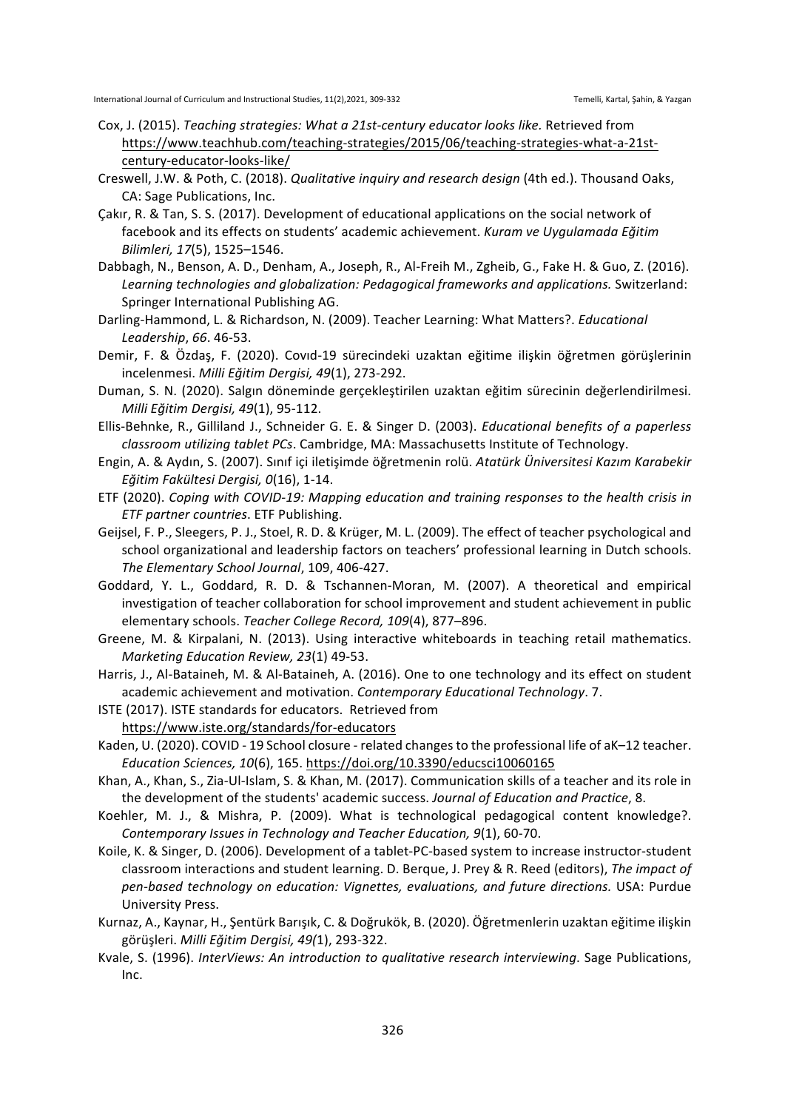- Cox, J. (2015). *Teaching strategies: What a 21st-century educator looks like.* Retrieved from https://www.teachhub.com/teaching-strategies/2015/06/teaching-strategies-what-a-21stcentury-educator-looks-like/
- Creswell, J.W. & Poth, C. (2018). *Qualitative inquiry and research design* (4th ed.). Thousand Oaks, CA: Sage Publications, Inc.
- Cakır, R. & Tan, S. S. (2017). Development of educational applications on the social network of facebook and its effects on students' academic achievement. *Kuram ve Uygulamada Eğitim Bilimleri, 17*(5), 1525–1546.
- Dabbagh, N., Benson, A. D., Denham, A., Joseph, R., Al-Freih M., Zgheib, G., Fake H. & Guo, Z. (2016). Learning technologies and globalization: Pedagogical frameworks and applications. Switzerland: Springer International Publishing AG.
- Darling-Hammond, L. & Richardson, N. (2009). Teacher Learning: What Matters?. *Educational* Leadership, 66. 46-53.
- Demir, F. & Özdaş, F. (2020). Covid-19 sürecindeki uzaktan eğitime ilişkin öğretmen görüşlerinin incelenmesi. Milli Eğitim Dergisi, 49(1), 273-292.
- Duman, S. N. (2020). Salgın döneminde gerçekleştirilen uzaktan eğitim sürecinin değerlendirilmesi. *Milli Eğitim Dergisi, 49*(1), 95-112.
- Ellis-Behnke, R., Gilliland J., Schneider G. E. & Singer D. (2003). *Educational benefits of a paperless classroom utilizing tablet PCs*. Cambridge, MA: Massachusetts Institute of Technology.
- Engin, A. & Aydın, S. (2007). Sınıf içi iletişimde öğretmenin rolü. Atatürk Üniversitesi Kazım Karabekir *Eğitim Fakültesi Dergisi, 0*(16), 1-14.
- ETF (2020). *Coping with COVID-19: Mapping education and training responses to the health crisis in ETF partner countries.* ETF Publishing.
- Geijsel, F. P., Sleegers, P. J., Stoel, R. D. & Krüger, M. L. (2009). The effect of teacher psychological and school organizational and leadership factors on teachers' professional learning in Dutch schools. *The Elementary School Journal*, 109, 406-427.
- Goddard, Y. L., Goddard, R. D. & Tschannen-Moran, M. (2007). A theoretical and empirical investigation of teacher collaboration for school improvement and student achievement in public elementary schools. *Teacher College Record, 109*(4), 877–896.
- Greene, M. & Kirpalani, N. (2013). Using interactive whiteboards in teaching retail mathematics. *Marketing Education Review, 23(1)* 49-53.
- Harris, J., Al-Bataineh, M. & Al-Bataineh, A. (2016). One to one technology and its effect on student academic achievement and motivation. *Contemporary Educational Technology*. 7.
- ISTE (2017). ISTE standards for educators. Retrieved from
	- https://www.iste.org/standards/for-educators
- Kaden, U. (2020). COVID 19 School closure related changes to the professional life of aK-12 teacher. *Education Sciences, 10*(6), 165. https://doi.org/10.3390/educsci10060165
- Khan, A., Khan, S., Zia-Ul-Islam, S. & Khan, M. (2017). Communication skills of a teacher and its role in the development of the students' academic success. *Journal of Education and Practice*, 8.
- Koehler, M. J., & Mishra, P. (2009). What is technological pedagogical content knowledge?. Contemporary *Issues in Technology and Teacher Education,* 9(1), 60-70.
- Koile, K. & Singer, D. (2006). Development of a tablet-PC-based system to increase instructor-student classroom interactions and student learning. D. Berque, J. Prey & R. Reed (editors), *The impact of pen-based technology on education: Vignettes, evaluations, and future directions.* USA: Purdue University Press.
- Kurnaz, A., Kaynar, H., Şentürk Barışık, C. & Doğrukök, B. (2020). Öğretmenlerin uzaktan eğitime ilişkin görüşleri. Milli Eğitim Dergisi, 49(1), 293-322.
- Kvale, S. (1996). InterViews: An introduction to qualitative research interviewing. Sage Publications, Inc.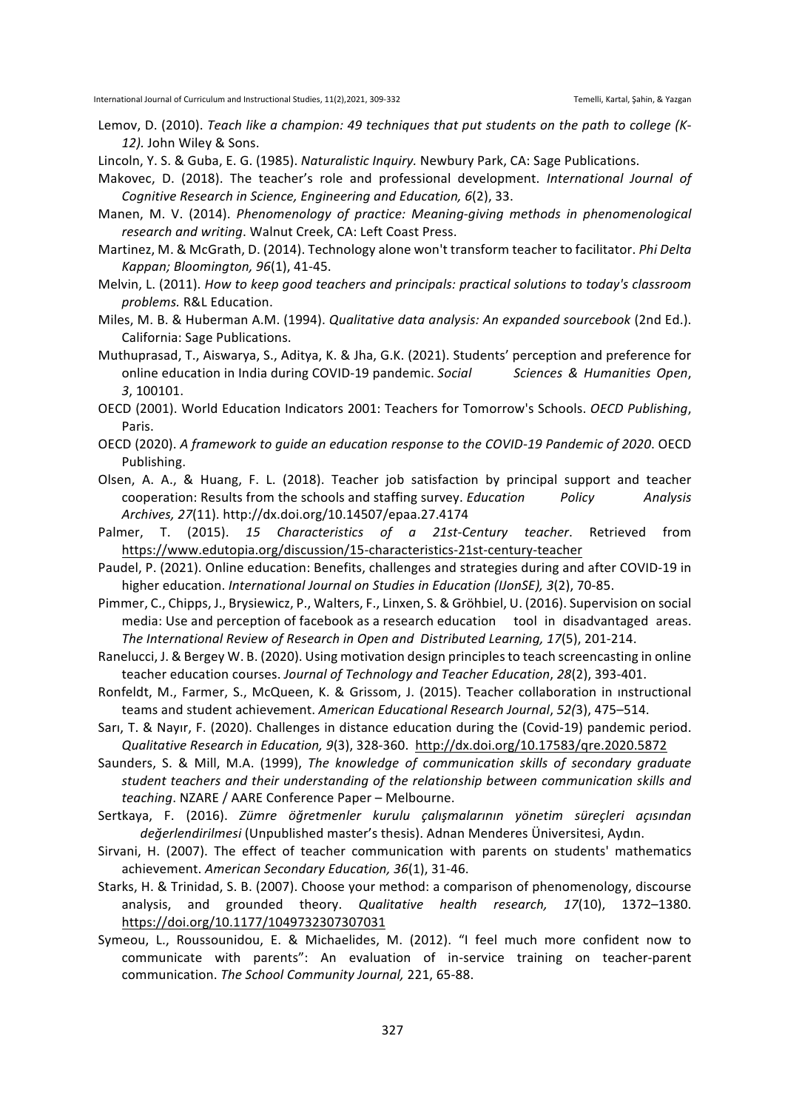- Lemov, D. (2010). *Teach like a champion: 49 techniques that put students on the path to college (K-*12). John Wiley & Sons.
- Lincoln, Y. S. & Guba, E. G. (1985). *Naturalistic Inquiry.* Newbury Park, CA: Sage Publications.
- Makovec, D. (2018). The teacher's role and professional development. *International Journal of Cognitive Research in Science, Engineering and Education, 6(2), 33.*
- Manen, M. V. (2014). *Phenomenology of practice: Meaning-giving methods in phenomenological* research and writing. Walnut Creek, CA: Left Coast Press.
- Martinez, M. & McGrath, D. (2014). Technology alone won't transform teacher to facilitator. *Phi Delta Kappan; Bloomington, 96*(1), 41-45.
- Melvin, L. (2011). How to keep good teachers and principals: practical solutions to today's classroom *problems.* R&L Education.
- Miles, M. B. & Huberman A.M. (1994). *Qualitative data analysis: An expanded sourcebook* (2nd Ed.). California: Sage Publications.
- Muthuprasad, T., Aiswarya, S., Aditya, K. & Jha, G.K. (2021). Students' perception and preference for online education in India during COVID-19 pandemic. *Social Sciences & Humanities Open*, *3*, 100101.
- OECD (2001). World Education Indicators 2001: Teachers for Tomorrow's Schools. *OECD Publishing*, Paris.
- OECD (2020). A framework to guide an education response to the COVID-19 Pandemic of 2020. OECD Publishing.
- Olsen, A. A., & Huang, F. L. (2018). Teacher job satisfaction by principal support and teacher cooperation: Results from the schools and staffing survey. *Education Policy Analysis Archives, 27*(11). http://dx.doi.org/10.14507/epaa.27.4174
- Palmer, T. (2015). 15 Characteristics of a 21st-Century teacher. Retrieved from https://www.edutopia.org/discussion/15-characteristics-21st-century-teacher
- Paudel, P. (2021). Online education: Benefits, challenges and strategies during and after COVID-19 in higher education. *International Journal on Studies in Education (IJonSE), 3(2), 70-85.*
- Pimmer, C., Chipps, J., Brysiewicz, P., Walters, F., Linxen, S. & Gröhbiel, U. (2016). Supervision on social media: Use and perception of facebook as a research education tool in disadvantaged areas. The International Review of Research in Open and Distributed Learning, 17(5), 201-214.
- Ranelucci, J. & Bergey W. B. (2020). Using motivation design principles to teach screencasting in online teacher education courses. Journal of Technology and Teacher Education, 28(2), 393-401.
- Ronfeldt, M., Farmer, S., McQueen, K. & Grissom, J. (2015). Teacher collaboration in instructional teams and student achievement. American Educational Research Journal, 52(3), 475–514.
- Sarı, T. & Nayır, F. (2020). Challenges in distance education during the (Covid-19) pandemic period. *Qualitative Research in Education, 9*(3), 328-360. http://dx.doi.org/10.17583/qre.2020.5872
- Saunders, S. & Mill, M.A. (1999), *The knowledge of communication skills of secondary graduate* student teachers and their understanding of the relationship between communication skills and *teaching*. NZARE / AARE Conference Paper – Melbourne.
- Sertkaya, F. (2016). *Zümre öğretmenler kurulu çalışmalarının yönetim süreçleri açısından değerlendirilmesi* (Unpublished master's thesis). Adnan Menderes Üniversitesi, Aydın.
- Sirvani, H. (2007). The effect of teacher communication with parents on students' mathematics achievement. American Secondary Education, 36(1), 31-46.
- Starks, H. & Trinidad, S. B. (2007). Choose your method: a comparison of phenomenology, discourse analysis, and grounded theory. *Qualitative health research, 17*(10), 1372-1380. https://doi.org/10.1177/1049732307307031
- Symeou, L., Roussounidou, E. & Michaelides, M. (2012). "I feel much more confident now to communicate with parents": An evaluation of in-service training on teacher-parent communication. The School Community Journal, 221, 65-88.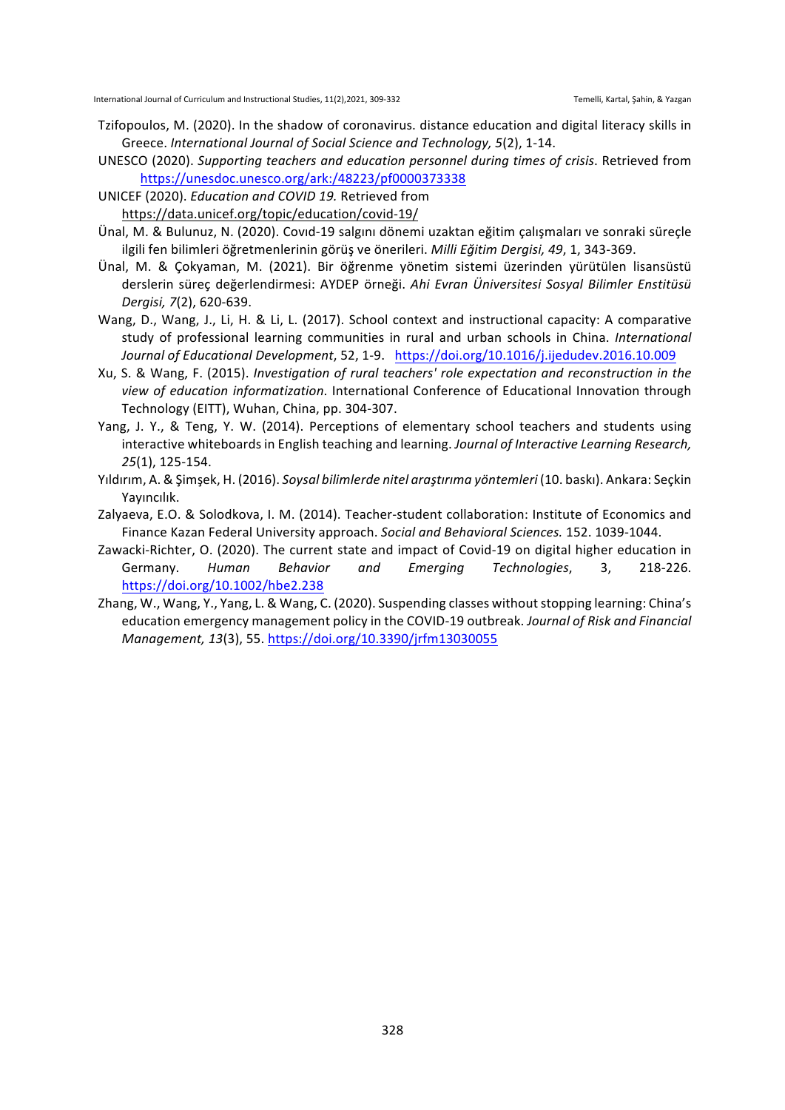- Tzifopoulos, M. (2020). In the shadow of coronavirus. distance education and digital literacy skills in Greece. *International Journal of Social Science and Technology, 5*(2), 1-14.
- UNESCO (2020). Supporting teachers and education personnel during times of crisis. Retrieved from https://unesdoc.unesco.org/ark:/48223/pf0000373338
- UNICEF (2020). *Education and COVID 19.* Retrieved from https://data.unicef.org/topic/education/covid-19/
- Ünal, M. & Bulunuz, N. (2020). Covid-19 salgını dönemi uzaktan eğitim çalışmaları ve sonraki süreçle ilgili fen bilimleri öğretmenlerinin görüş ve önerileri. Milli Eğitim Dergisi, 49, 1, 343-369.
- Ünal, M. & Çokyaman, M. (2021). Bir öğrenme yönetim sistemi üzerinden yürütülen lisansüstü derslerin süreç değerlendirmesi: AYDEP örneği. Ahi Evran Üniversitesi Sosyal Bilimler Enstitüsü *Dergisi, 7*(2), 620-639.
- Wang, D., Wang, J., Li, H. & Li, L. (2017). School context and instructional capacity: A comparative study of professional learning communities in rural and urban schools in China. International *Journal of Educational Development*, 52, 1-9. https://doi.org/10.1016/j.ijedudev.2016.10.009
- Xu, S. & Wang, F. (2015). *Investigation of rural teachers' role expectation and reconstruction in the* view of education informatization. International Conference of Educational Innovation through Technology (EITT), Wuhan, China, pp. 304-307.
- Yang, J. Y., & Teng, Y. W. (2014). Perceptions of elementary school teachers and students using interactive whiteboards in English teaching and learning. *Journal of Interactive Learning Research*, *25*(1), 125-154.
- Yıldırım, A. & Şimşek, H. (2016). *Soysal bilimlerde nitel araştırıma yöntemleri* (10. baskı). Ankara: Seçkin Yayıncılık.
- Zalyaeva, E.O. & Solodkova, I. M. (2014). Teacher-student collaboration: Institute of Economics and Finance Kazan Federal University approach. Social and Behavioral Sciences. 152. 1039-1044.
- Zawacki-Richter, O. (2020). The current state and impact of Covid-19 on digital higher education in Germany. *Human Behavior and Emerging Technologies*, 3, 218-226. https://doi.org/10.1002/hbe2.238
- Zhang, W., Wang, Y., Yang, L. & Wang, C. (2020). Suspending classes without stopping learning: China's education emergency management policy in the COVID-19 outbreak. *Journal of Risk and Financial Management, 13*(3), 55. https://doi.org/10.3390/jrfm13030055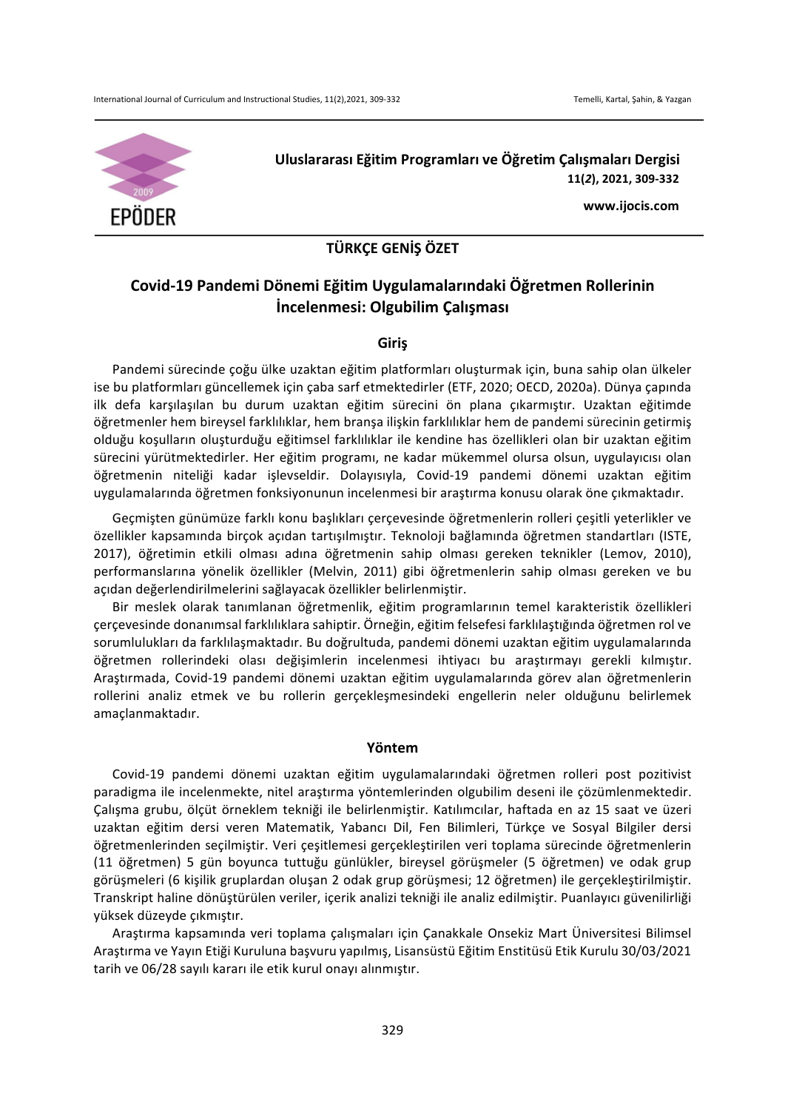

**Uluslararası Eğitim Programları ve Öğretim Çalışmaları Dergisi 11(***2***), 2021, 309-332**

**www.ijocis.com**

# **TÜRKÇE GENİŞ ÖZET**

# **Covid-19 Pandemi Dönemi Eğitim Uygulamalarındaki Öğretmen Rollerinin İncelenmesi: Olgubilim Çalışması**

# **Giriş**

Pandemi sürecinde coğu ülke uzaktan eğitim platformları oluşturmak için, buna sahip olan ülkeler ise bu platformları güncellemek için çaba sarf etmektedirler (ETF, 2020; OECD, 2020a). Dünya çapında ilk defa karşılaşılan bu durum uzaktan eğitim sürecini ön plana çıkarmıştır. Uzaktan eğitimde öğretmenler hem bireysel farklılıklar, hem branşa ilişkin farklılıklar hem de pandemi sürecinin getirmiş olduğu koşulların oluşturduğu eğitimsel farklılıklar ile kendine has özellikleri olan bir uzaktan eğitim sürecini yürütmektedirler. Her eğitim programı, ne kadar mükemmel olursa olsun, uygulayıcısı olan öğretmenin niteliği kadar işlevseldir. Dolayısıyla, Covid-19 pandemi dönemi uzaktan eğitim uygulamalarında öğretmen fonksiyonunun incelenmesi bir araştırma konusu olarak öne çıkmaktadır.

Geçmişten günümüze farklı konu başlıkları çerçevesinde öğretmenlerin rolleri çeşitli yeterlikler ve özellikler kapsamında birçok açıdan tartışılmıştır. Teknoloji bağlamında öğretmen standartları (ISTE, 2017), öğretimin etkili olması adına öğretmenin sahip olması gereken teknikler (Lemov, 2010), performanslarına yönelik özellikler (Melvin, 2011) gibi öğretmenlerin sahip olması gereken ve bu açıdan değerlendirilmelerini sağlayacak özellikler belirlenmiştir.

Bir meslek olarak tanımlanan öğretmenlik, eğitim programlarının temel karakteristik özellikleri çerçevesinde donanımsal farklılıklara sahiptir. Örneğin, eğitim felsefesi farklılaştığında öğretmen rol ve sorumlulukları da farklılaşmaktadır. Bu doğrultuda, pandemi dönemi uzaktan eğitim uygulamalarında öğretmen rollerindeki olası değişimlerin incelenmesi ihtiyacı bu araştırmayı gerekli kılmıştır. Araştırmada, Covid-19 pandemi dönemi uzaktan eğitim uygulamalarında görev alan öğretmenlerin rollerini analiz etmek ve bu rollerin gerçekleşmesindeki engellerin neler olduğunu belirlemek amaçlanmaktadır.

# **Yöntem**

Covid-19 pandemi dönemi uzaktan eğitim uygulamalarındaki öğretmen rolleri post pozitivist paradigma ile incelenmekte, nitel araştırma yöntemlerinden olgubilim deseni ile çözümlenmektedir. Çalışma grubu, ölçüt örneklem tekniği ile belirlenmiştir. Katılımcılar, haftada en az 15 saat ve üzeri uzaktan eğitim dersi veren Matematik, Yabancı Dil, Fen Bilimleri, Türkçe ve Sosyal Bilgiler dersi öğretmenlerinden seçilmiştir. Veri çeşitlemesi gerçekleştirilen veri toplama sürecinde öğretmenlerin (11 öğretmen) 5 gün boyunca tuttuğu günlükler, bireysel görüşmeler (5 öğretmen) ve odak grup görüşmeleri (6 kişilik gruplardan oluşan 2 odak grup görüşmesi; 12 öğretmen) ile gerçekleştirilmiştir. Transkript haline dönüştürülen veriler, içerik analizi tekniği ile analiz edilmiştir. Puanlayıcı güvenilirliği yüksek düzeyde çıkmıştır.

Araştırma kapsamında veri toplama çalışmaları için Çanakkale Onsekiz Mart Üniversitesi Bilimsel Araştırma ve Yayın Etiği Kuruluna başvuru yapılmış, Lisansüstü Eğitim Enstitüsü Etik Kurulu 30/03/2021 tarih ve 06/28 sayılı kararı ile etik kurul onayı alınmıştır.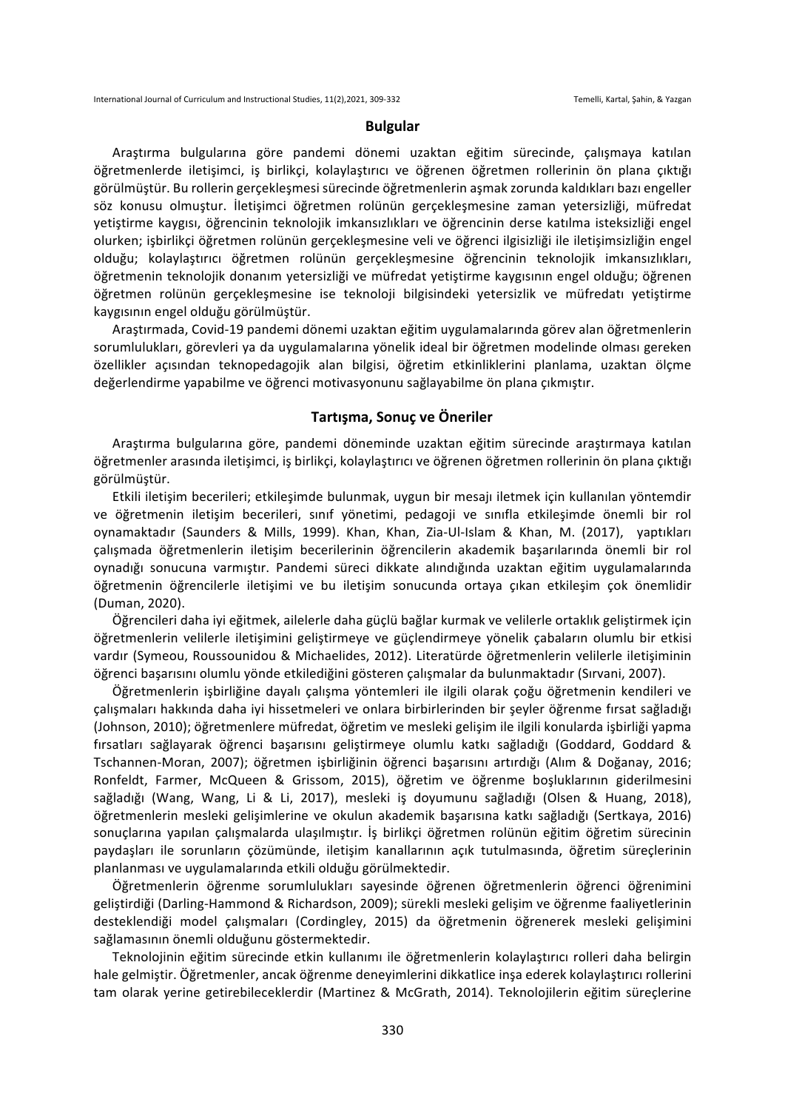#### **Bulgular**

Araştırma bulgularına göre pandemi dönemi uzaktan eğitim sürecinde, çalışmaya katılan öğretmenlerde iletişimci, iş birlikçi, kolaylaştırıcı ve öğrenen öğretmen rollerinin ön plana çıktığı görülmüştür. Bu rollerin gerçekleşmesi sürecinde öğretmenlerin aşmak zorunda kaldıkları bazı engeller söz konusu olmuştur. İletişimci öğretmen rolünün gerçekleşmesine zaman yetersizliği, müfredat yetiştirme kaygısı, öğrencinin teknolojik imkansızlıkları ve öğrencinin derse katılma isteksizliği engel olurken; işbirlikçi öğretmen rolünün gerçekleşmesine veli ve öğrenci ilgisizliği ile iletişimsizliğin engel olduğu; kolaylaştırıcı öğretmen rolünün gerçekleşmesine öğrencinin teknolojik imkansızlıkları, öğretmenin teknolojik donanım yetersizliği ve müfredat yetiştirme kaygısının engel olduğu; öğrenen öğretmen rolünün gerçekleşmesine ise teknoloji bilgisindeki yetersizlik ve müfredatı yetiştirme kaygısının engel olduğu görülmüştür. 

Araştırmada, Covid-19 pandemi dönemi uzaktan eğitim uygulamalarında görev alan öğretmenlerin sorumlulukları, görevleri ya da uygulamalarına yönelik ideal bir öğretmen modelinde olması gereken özellikler açısından teknopedagojik alan bilgisi, öğretim etkinliklerini planlama, uzaktan ölçme değerlendirme yapabilme ve öğrenci motivasyonunu sağlayabilme ön plana çıkmıştır.

## **Tartışma, Sonuç ve Öneriler**

Arastırma bulgularına göre, pandemi döneminde uzaktan eğitim sürecinde araştırmaya katılan öğretmenler arasında iletişimci, iş birlikçi, kolaylaştırıcı ve öğrenen öğretmen rollerinin ön plana çıktığı görülmüştür.

Etkili iletişim becerileri; etkileşimde bulunmak, uygun bir mesajı iletmek için kullanılan yöntemdir ve öğretmenin iletişim becerileri, sınıf yönetimi, pedagoji ve sınıfla etkileşimde önemli bir rol oynamaktadır (Saunders & Mills, 1999). Khan, Khan, Zia-Ul-Islam & Khan, M. (2017), yaptıkları çalışmada öğretmenlerin iletişim becerilerinin öğrencilerin akademik başarılarında önemli bir rol oynadığı sonucuna varmıştır. Pandemi süreci dikkate alındığında uzaktan eğitim uygulamalarında öğretmenin öğrencilerle iletişimi ve bu iletişim sonucunda ortaya çıkan etkileşim çok önemlidir (Duman, 2020).

Öğrencileri daha iyi eğitmek, ailelerle daha güçlü bağlar kurmak ve velilerle ortaklık geliştirmek için öğretmenlerin velilerle iletişimini geliştirmeye ve güçlendirmeye yönelik çabaların olumlu bir etkisi vardır (Symeou, Roussounidou & Michaelides, 2012). Literatürde öğretmenlerin velilerle iletişiminin öğrenci başarısını olumlu yönde etkilediğini gösteren çalışmalar da bulunmaktadır (Sırvani, 2007).

Öğretmenlerin işbirliğine dayalı çalışma yöntemleri ile ilgili olarak çoğu öğretmenin kendileri ve çalışmaları hakkında daha iyi hissetmeleri ve onlara birbirlerinden bir şeyler öğrenme fırsat sağladığı (Johnson, 2010); öğretmenlere müfredat, öğretim ve mesleki gelişim ile ilgili konularda işbirliği yapma fırsatları sağlayarak öğrenci başarısını geliştirmeye olumlu katkı sağladığı (Goddard, Goddard & Tschannen-Moran, 2007); öğretmen işbirliğinin öğrenci başarısını artırdığı (Alım & Doğanay, 2016; Ronfeldt, Farmer, McQueen & Grissom, 2015), öğretim ve öğrenme boşluklarının giderilmesini sağladığı (Wang, Wang, Li & Li, 2017), mesleki iş doyumunu sağladığı (Olsen & Huang, 2018), öğretmenlerin mesleki gelişimlerine ve okulun akademik başarısına katkı sağladığı (Sertkaya, 2016) sonuçlarına yapılan çalışmalarda ulaşılmıştır. İş birlikçi öğretmen rolünün eğitim öğretim sürecinin paydaşları ile sorunların çözümünde, iletişim kanallarının açık tutulmasında, öğretim süreçlerinin planlanması ve uygulamalarında etkili olduğu görülmektedir.

Öğretmenlerin öğrenme sorumlulukları sayesinde öğrenen öğretmenlerin öğrenci öğrenimini geliştirdiği (Darling-Hammond & Richardson, 2009); sürekli mesleki gelişim ve öğrenme faaliyetlerinin desteklendiği model çalışmaları (Cordingley, 2015) da öğretmenin öğrenerek mesleki gelişimini sağlamasının önemli olduğunu göstermektedir.

Teknolojinin eğitim sürecinde etkin kullanımı ile öğretmenlerin kolaylaştırıcı rolleri daha belirgin hale gelmiştir. Öğretmenler, ancak öğrenme deneyimlerini dikkatlice inşa ederek kolaylaştırıcı rollerini tam olarak yerine getirebileceklerdir (Martinez & McGrath, 2014). Teknolojilerin eğitim süreçlerine